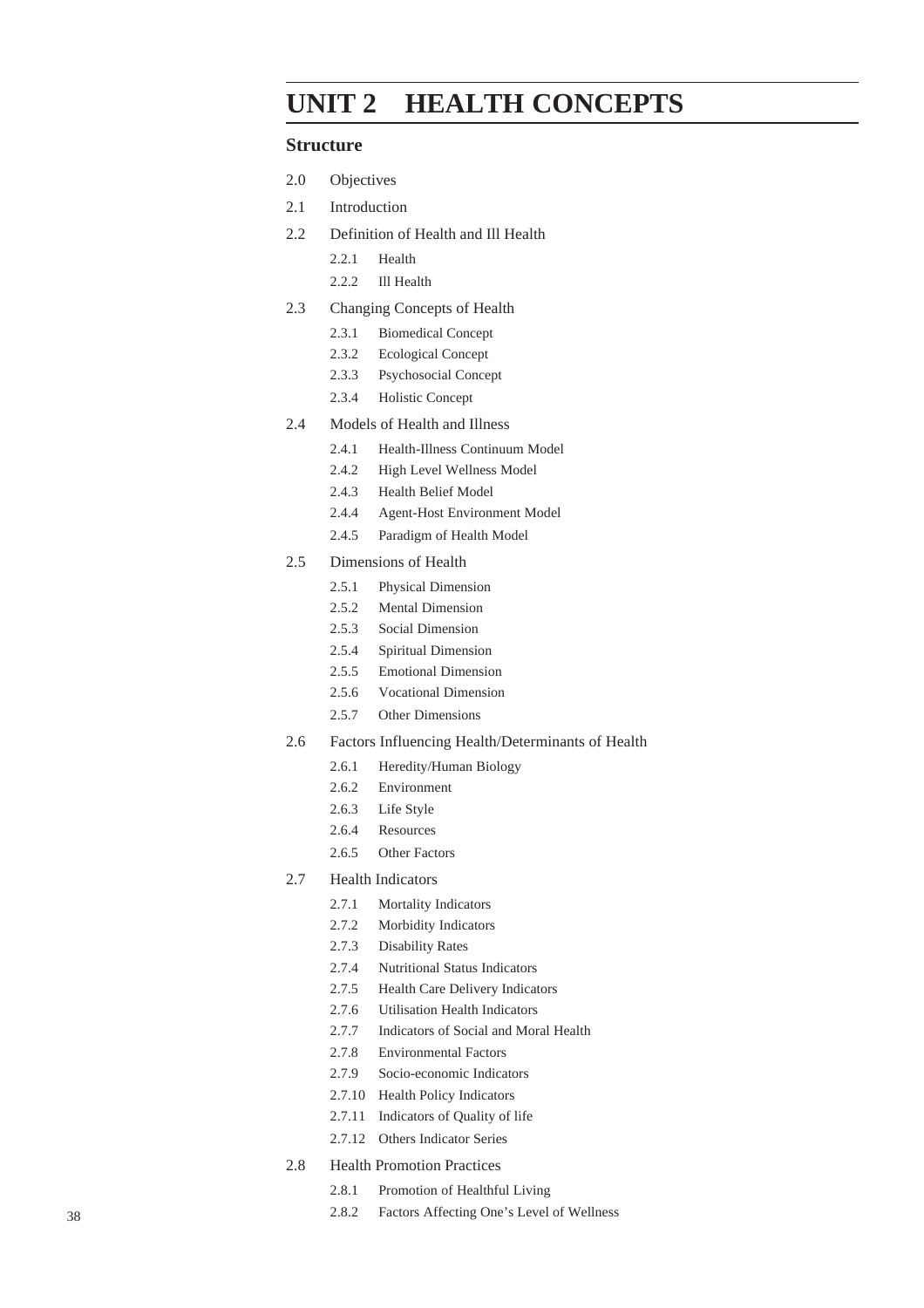# **UNIT 2 HEALTH CONCEPTS**

## **Structure**

- 2.0 Objectives
- 2.1 Introduction
- 2.2 Definition of Health and Ill Health
	- 2.2.1 Health
	- 2.2.2 Ill Health
- 2.3 Changing Concepts of Health
	- 2.3.1 Biomedical Concept
	- 2.3.2 Ecological Concept
	- 2.3.3 Psychosocial Concept
	- 2.3.4 Holistic Concept
- 2.4 Models of Health and Illness
	- 2.4.1 Health-Illness Continuum Model
	- 2.4.2 High Level Wellness Model
	- 2.4.3 Health Belief Model
	- 2.4.4 Agent-Host Environment Model
	- 2.4.5 Paradigm of Health Model
- 2.5 Dimensions of Health
	- 2.5.1 Physical Dimension
	- 2.5.2 Mental Dimension
	- 2.5.3 Social Dimension
	- 2.5.4 Spiritual Dimension
	- 2.5.5 Emotional Dimension
	- 2.5.6 Vocational Dimension
	- 2.5.7 Other Dimensions
- 2.6 Factors Influencing Health/Determinants of Health
	- 2.6.1 Heredity/Human Biology
	- 2.6.2 Environment
	- 2.6.3 Life Style
	- 2.6.4 Resources
	- 2.6.5 Other Factors
- 2.7 Health Indicators
	- 2.7.1 Mortality Indicators
	- 2.7.2 Morbidity Indicators
	- 2.7.3 Disability Rates
	- 2.7.4 Nutritional Status Indicators
	- 2.7.5 Health Care Delivery Indicators
	- 2.7.6 Utilisation Health Indicators
	- 2.7.7 Indicators of Social and Moral Health
	- 2.7.8 Environmental Factors
	- 2.7.9 Socio-economic Indicators
	- 2.7.10 Health Policy Indicators
	- 2.7.11 Indicators of Quality of life
	- 2.7.12 Others Indicator Series
- 2.8 Health Promotion Practices
	- 2.8.1 Promotion of Healthful Living
- 2.8.2 Factors Affecting One's Level of Wellness 38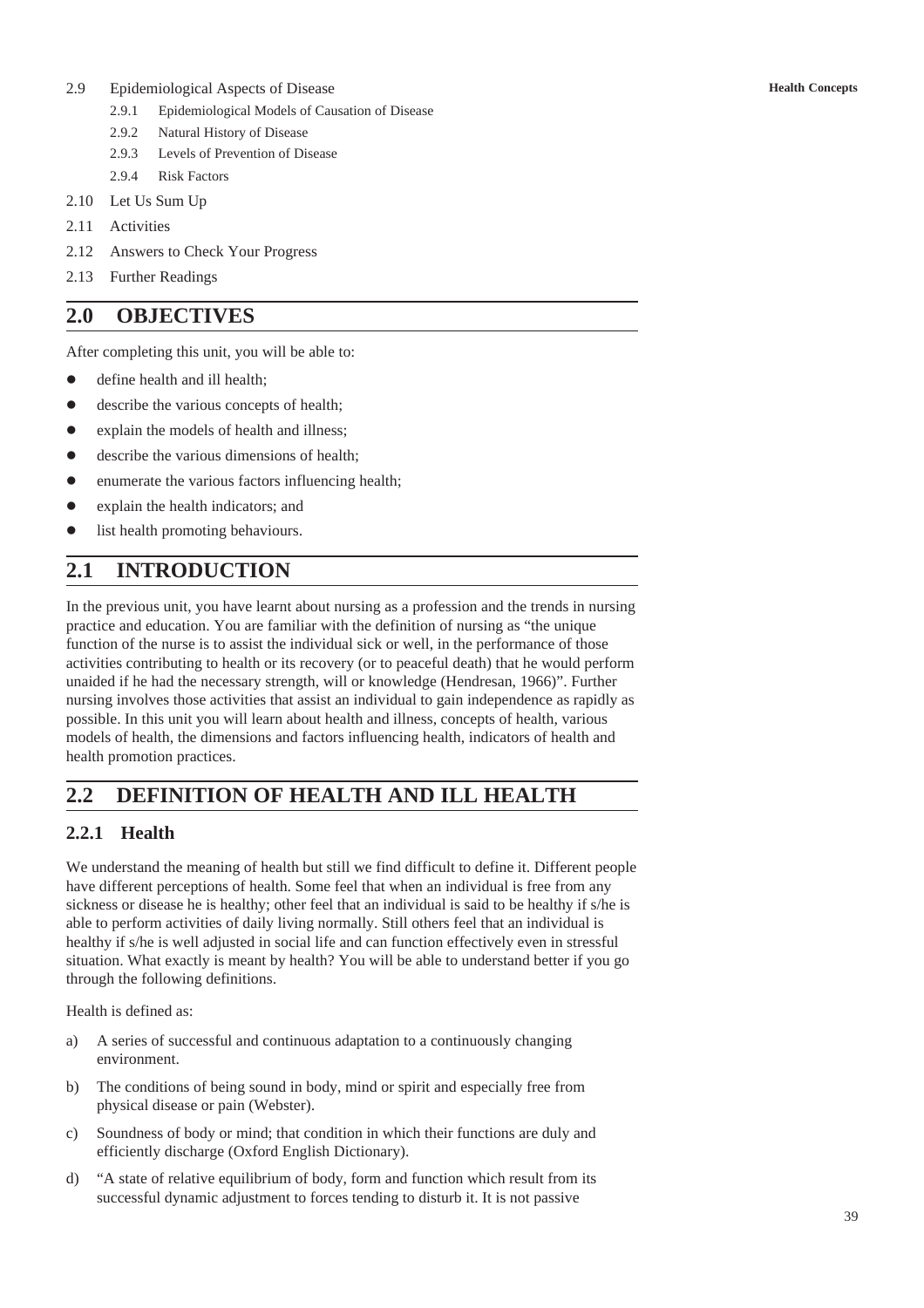- 2.9 Epidemiological Aspects of Disease
	- 2.9.1 Epidemiological Models of Causation of Disease
	- 2.9.2 Natural History of Disease
	- 2.9.3 Levels of Prevention of Disease
	- 2.9.4 Risk Factors
- 2.10 Let Us Sum Up
- 2.11 Activities
- 2.12 Answers to Check Your Progress
- 2.13 Further Readings

# **2.0 OBJECTIVES**

After completing this unit, you will be able to:

- define health and ill health:
- describe the various concepts of health;
- explain the models of health and illness;
- describe the various dimensions of health;
- enumerate the various factors influencing health;
- explain the health indicators; and
- list health promoting behaviours.

# **2.1 INTRODUCTION**

In the previous unit, you have learnt about nursing as a profession and the trends in nursing practice and education. You are familiar with the definition of nursing as "the unique function of the nurse is to assist the individual sick or well, in the performance of those activities contributing to health or its recovery (or to peaceful death) that he would perform unaided if he had the necessary strength, will or knowledge (Hendresan, 1966)". Further nursing involves those activities that assist an individual to gain independence as rapidly as possible. In this unit you will learn about health and illness, concepts of health, various models of health, the dimensions and factors influencing health, indicators of health and health promotion practices.

# **2.2 DEFINITION OF HEALTH AND ILL HEALTH**

## **2.2.1 Health**

We understand the meaning of health but still we find difficult to define it. Different people have different perceptions of health. Some feel that when an individual is free from any sickness or disease he is healthy; other feel that an individual is said to be healthy if s/he is able to perform activities of daily living normally. Still others feel that an individual is healthy if s/he is well adjusted in social life and can function effectively even in stressful situation. What exactly is meant by health? You will be able to understand better if you go through the following definitions.

Health is defined as:

- a) A series of successful and continuous adaptation to a continuously changing environment.
- b) The conditions of being sound in body, mind or spirit and especially free from physical disease or pain (Webster).
- c) Soundness of body or mind; that condition in which their functions are duly and efficiently discharge (Oxford English Dictionary).
- d) "A state of relative equilibrium of body, form and function which result from its successful dynamic adjustment to forces tending to disturb it. It is not passive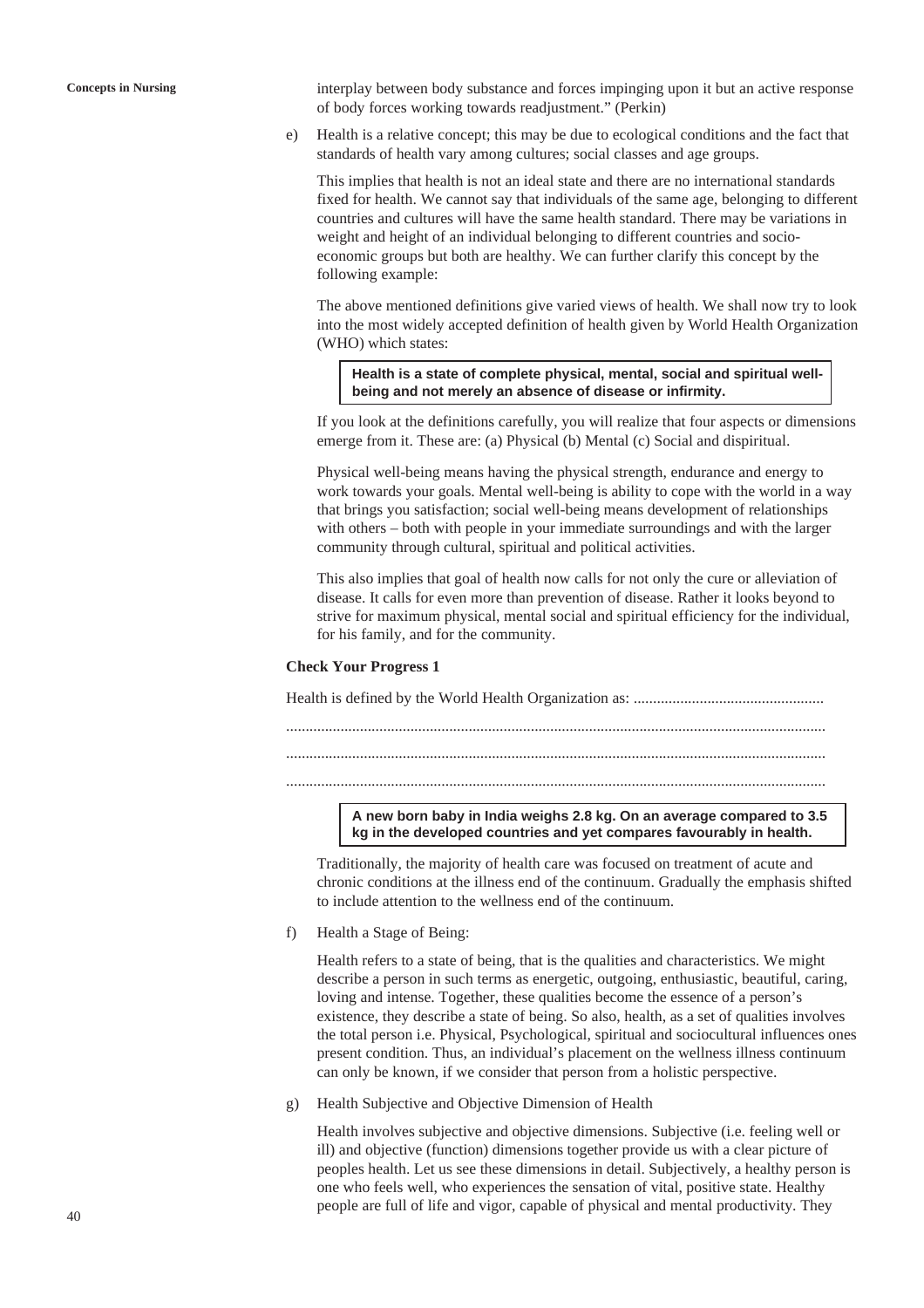**Concepts in Nursing** interplay between body substance and forces impinging upon it but an active response of body forces working towards readjustment." (Perkin)

> e) Health is a relative concept; this may be due to ecological conditions and the fact that standards of health vary among cultures; social classes and age groups.

This implies that health is not an ideal state and there are no international standards fixed for health. We cannot say that individuals of the same age, belonging to different countries and cultures will have the same health standard. There may be variations in weight and height of an individual belonging to different countries and socioeconomic groups but both are healthy. We can further clarify this concept by the following example:

The above mentioned definitions give varied views of health. We shall now try to look into the most widely accepted definition of health given by World Health Organization (WHO) which states:

**Health is a state of complete physical, mental, social and spiritual wellbeing and not merely an absence of disease or infirmity.**

If you look at the definitions carefully, you will realize that four aspects or dimensions emerge from it. These are: (a) Physical (b) Mental (c) Social and dispiritual.

Physical well-being means having the physical strength, endurance and energy to work towards your goals. Mental well-being is ability to cope with the world in a way that brings you satisfaction; social well-being means development of relationships with others – both with people in your immediate surroundings and with the larger community through cultural, spiritual and political activities.

This also implies that goal of health now calls for not only the cure or alleviation of disease. It calls for even more than prevention of disease. Rather it looks beyond to strive for maximum physical, mental social and spiritual efficiency for the individual, for his family, and for the community.

#### **Check Your Progress 1**

Health is defined by the World Health Organization as: ................................................. ........................................................................................................................................... ........................................................................................................................................... ...........................................................................................................................................

> **A new born baby in India weighs 2.8 kg. On an average compared to 3.5 kg in the developed countries and yet compares favourably in health.**

Traditionally, the majority of health care was focused on treatment of acute and chronic conditions at the illness end of the continuum. Gradually the emphasis shifted to include attention to the wellness end of the continuum.

f) Health a Stage of Being:

Health refers to a state of being, that is the qualities and characteristics. We might describe a person in such terms as energetic, outgoing, enthusiastic, beautiful, caring, loving and intense. Together, these qualities become the essence of a person's existence, they describe a state of being. So also, health, as a set of qualities involves the total person i.e. Physical, Psychological, spiritual and sociocultural influences ones present condition. Thus, an individual's placement on the wellness illness continuum can only be known, if we consider that person from a holistic perspective.

g) Health Subjective and Objective Dimension of Health

Health involves subjective and objective dimensions. Subjective (i.e. feeling well or ill) and objective (function) dimensions together provide us with a clear picture of peoples health. Let us see these dimensions in detail. Subjectively, a healthy person is one who feels well, who experiences the sensation of vital, positive state. Healthy people are full of life and vigor, capable of physical and mental productivity. They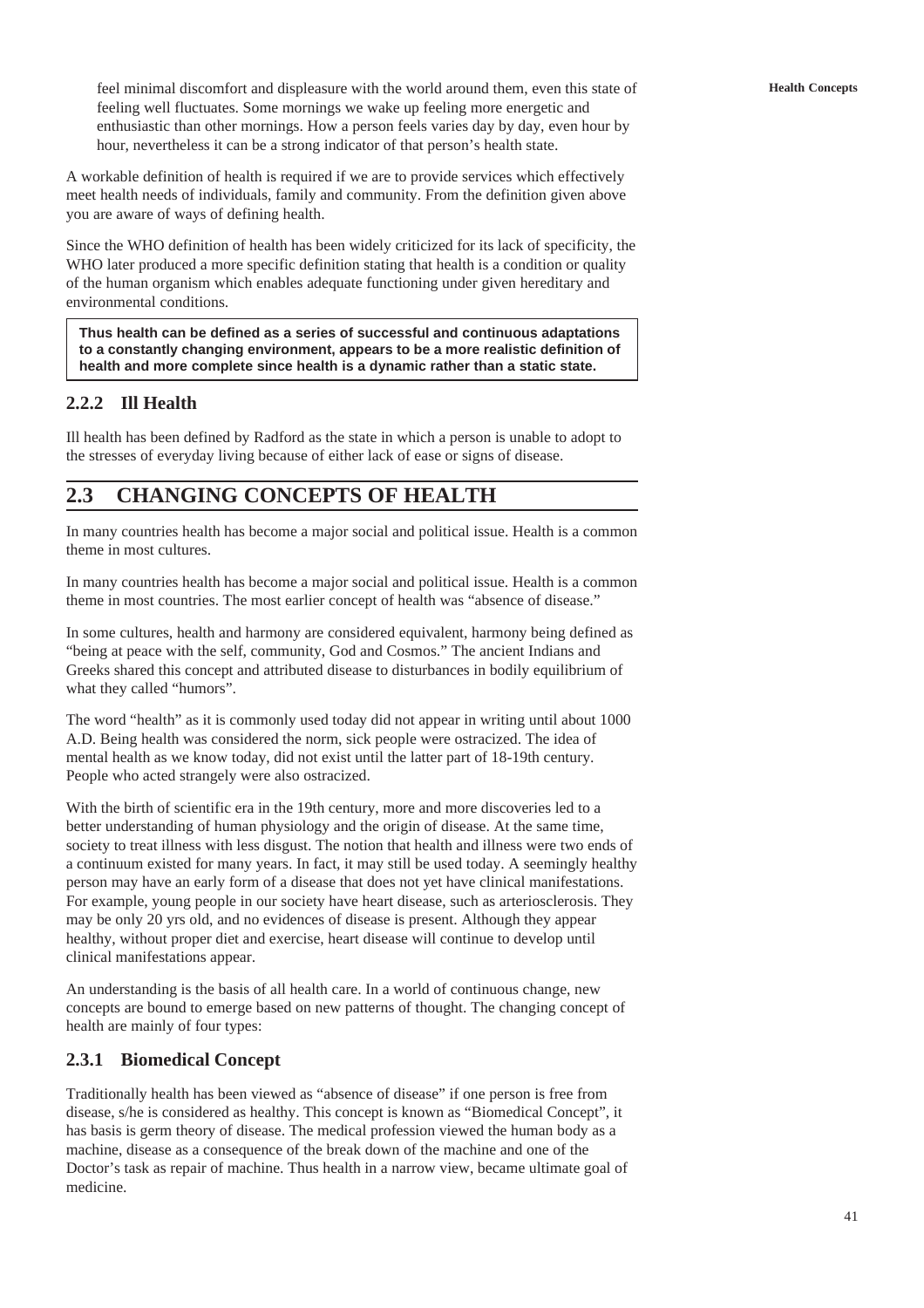feel minimal discomfort and displeasure with the world around them, even this state of feeling well fluctuates. Some mornings we wake up feeling more energetic and enthusiastic than other mornings. How a person feels varies day by day, even hour by hour, nevertheless it can be a strong indicator of that person's health state.

A workable definition of health is required if we are to provide services which effectively meet health needs of individuals, family and community. From the definition given above you are aware of ways of defining health.

Since the WHO definition of health has been widely criticized for its lack of specificity, the WHO later produced a more specific definition stating that health is a condition or quality of the human organism which enables adequate functioning under given hereditary and environmental conditions.

**Thus health can be defined as a series of successful and continuous adaptations to a constantly changing environment, appears to be a more realistic definition of health and more complete since health is a dynamic rather than a static state.**

# **2.2.2 Ill Health**

Ill health has been defined by Radford as the state in which a person is unable to adopt to the stresses of everyday living because of either lack of ease or signs of disease.

# **2.3 CHANGING CONCEPTS OF HEALTH**

In many countries health has become a major social and political issue. Health is a common theme in most cultures.

In many countries health has become a major social and political issue. Health is a common theme in most countries. The most earlier concept of health was "absence of disease."

In some cultures, health and harmony are considered equivalent, harmony being defined as "being at peace with the self, community, God and Cosmos." The ancient Indians and Greeks shared this concept and attributed disease to disturbances in bodily equilibrium of what they called "humors".

The word "health" as it is commonly used today did not appear in writing until about 1000 A.D. Being health was considered the norm, sick people were ostracized. The idea of mental health as we know today, did not exist until the latter part of 18-19th century. People who acted strangely were also ostracized.

With the birth of scientific era in the 19th century, more and more discoveries led to a better understanding of human physiology and the origin of disease. At the same time, society to treat illness with less disgust. The notion that health and illness were two ends of a continuum existed for many years. In fact, it may still be used today. A seemingly healthy person may have an early form of a disease that does not yet have clinical manifestations. For example, young people in our society have heart disease, such as arteriosclerosis. They may be only 20 yrs old, and no evidences of disease is present. Although they appear healthy, without proper diet and exercise, heart disease will continue to develop until clinical manifestations appear.

An understanding is the basis of all health care. In a world of continuous change, new concepts are bound to emerge based on new patterns of thought. The changing concept of health are mainly of four types:

# **2.3.1 Biomedical Concept**

Traditionally health has been viewed as "absence of disease" if one person is free from disease, s/he is considered as healthy. This concept is known as "Biomedical Concept", it has basis is germ theory of disease. The medical profession viewed the human body as a machine, disease as a consequence of the break down of the machine and one of the Doctor's task as repair of machine. Thus health in a narrow view, became ultimate goal of medicine.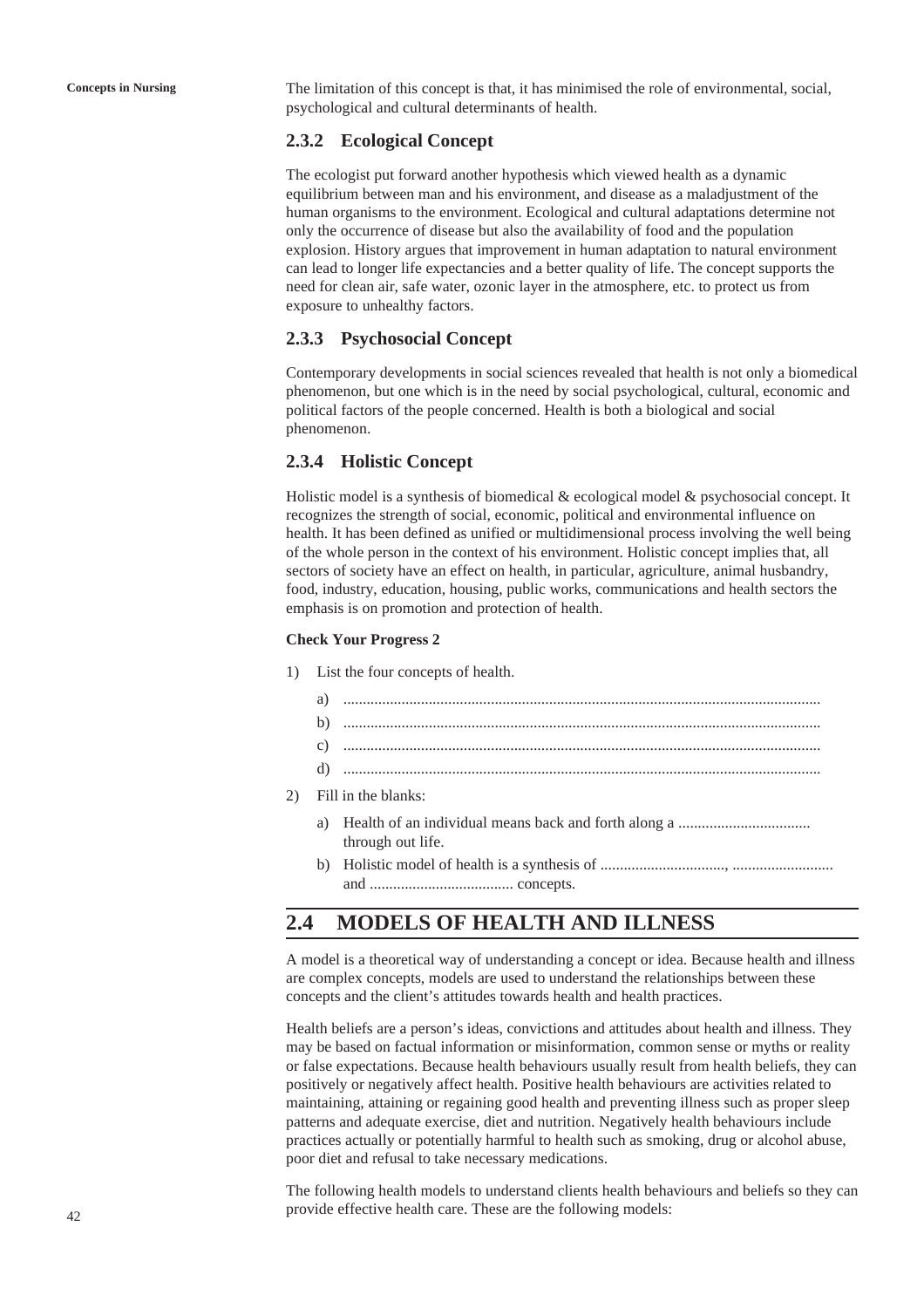**Concepts in Nursing** The limitation of this concept is that, it has minimised the role of environmental, social, psychological and cultural determinants of health.

## **2.3.2 Ecological Concept**

The ecologist put forward another hypothesis which viewed health as a dynamic equilibrium between man and his environment, and disease as a maladjustment of the human organisms to the environment. Ecological and cultural adaptations determine not only the occurrence of disease but also the availability of food and the population explosion. History argues that improvement in human adaptation to natural environment can lead to longer life expectancies and a better quality of life. The concept supports the need for clean air, safe water, ozonic layer in the atmosphere, etc. to protect us from exposure to unhealthy factors.

## **2.3.3 Psychosocial Concept**

Contemporary developments in social sciences revealed that health is not only a biomedical phenomenon, but one which is in the need by social psychological, cultural, economic and political factors of the people concerned. Health is both a biological and social phenomenon.

## **2.3.4 Holistic Concept**

Holistic model is a synthesis of biomedical & ecological model & psychosocial concept. It recognizes the strength of social, economic, political and environmental influence on health. It has been defined as unified or multidimensional process involving the well being of the whole person in the context of his environment. Holistic concept implies that, all sectors of society have an effect on health, in particular, agriculture, animal husbandry, food, industry, education, housing, public works, communications and health sectors the emphasis is on promotion and protection of health.

#### **Check Your Progress 2**

- 1) List the four concepts of health.
	- a) ...........................................................................................................................
	- b) ...........................................................................................................................
	- c) ...........................................................................................................................
	- d) ...........................................................................................................................
- 2) Fill in the blanks:
	- a) Health of an individual means back and forth along a .................................. through out life.
	- b) Holistic model of health is a synthesis of ................................, .......................... and ..................................... concepts.

# **2.4 MODELS OF HEALTH AND ILLNESS**

A model is a theoretical way of understanding a concept or idea. Because health and illness are complex concepts, models are used to understand the relationships between these concepts and the client's attitudes towards health and health practices.

Health beliefs are a person's ideas, convictions and attitudes about health and illness. They may be based on factual information or misinformation, common sense or myths or reality or false expectations. Because health behaviours usually result from health beliefs, they can positively or negatively affect health. Positive health behaviours are activities related to maintaining, attaining or regaining good health and preventing illness such as proper sleep patterns and adequate exercise, diet and nutrition. Negatively health behaviours include practices actually or potentially harmful to health such as smoking, drug or alcohol abuse, poor diet and refusal to take necessary medications.

The following health models to understand clients health behaviours and beliefs so they can provide effective health care. These are the following models: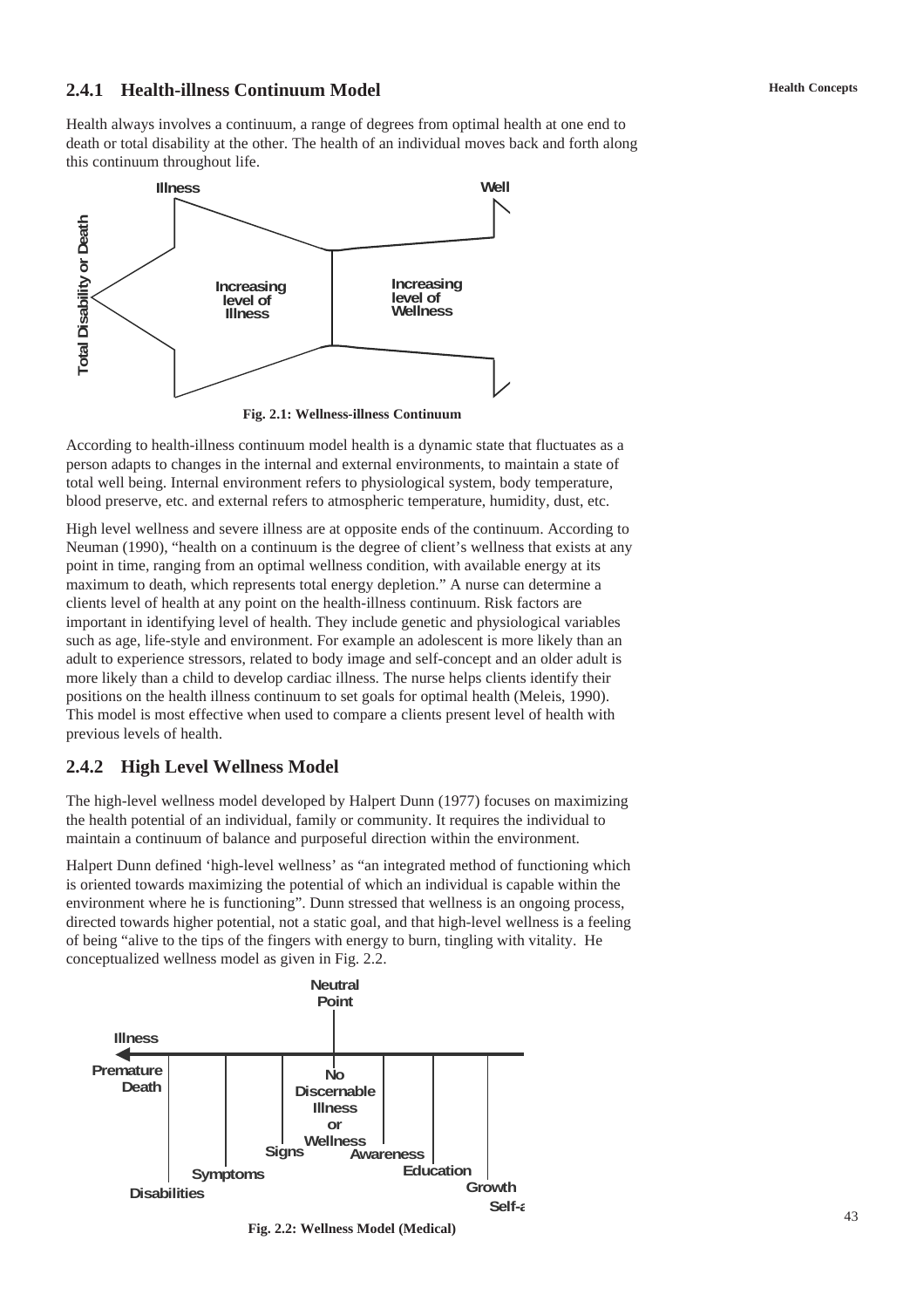## **2.4.1 Health-illness Continuum Model**

Health always involves a continuum, a range of degrees from optimal health at one end to death or total disability at the other. The health of an individual moves back and forth along this continuum throughout life.



**Fig. 2.1: Wellness-illness Continuum**

According to health-illness continuum model health is a dynamic state that fluctuates as a person adapts to changes in the internal and external environments, to maintain a state of total well being. Internal environment refers to physiological system, body temperature, blood preserve, etc. and external refers to atmospheric temperature, humidity, dust, etc.

High level wellness and severe illness are at opposite ends of the continuum. According to Neuman (1990), "health on a continuum is the degree of client's wellness that exists at any point in time, ranging from an optimal wellness condition, with available energy at its maximum to death, which represents total energy depletion." A nurse can determine a clients level of health at any point on the health-illness continuum. Risk factors are important in identifying level of health. They include genetic and physiological variables such as age, life-style and environment. For example an adolescent is more likely than an adult to experience stressors, related to body image and self-concept and an older adult is more likely than a child to develop cardiac illness. The nurse helps clients identify their positions on the health illness continuum to set goals for optimal health (Meleis, 1990). This model is most effective when used to compare a clients present level of health with previous levels of health.

# **2.4.2 High Level Wellness Model**

The high-level wellness model developed by Halpert Dunn (1977) focuses on maximizing the health potential of an individual, family or community. It requires the individual to maintain a continuum of balance and purposeful direction within the environment.

Halpert Dunn defined 'high-level wellness' as "an integrated method of functioning which is oriented towards maximizing the potential of which an individual is capable within the environment where he is functioning". Dunn stressed that wellness is an ongoing process, directed towards higher potential, not a static goal, and that high-level wellness is a feeling of being "alive to the tips of the fingers with energy to burn, tingling with vitality. He conceptualized wellness model as given in Fig. 2.2.



**Fig. 2.2: Wellness Model (Medical)**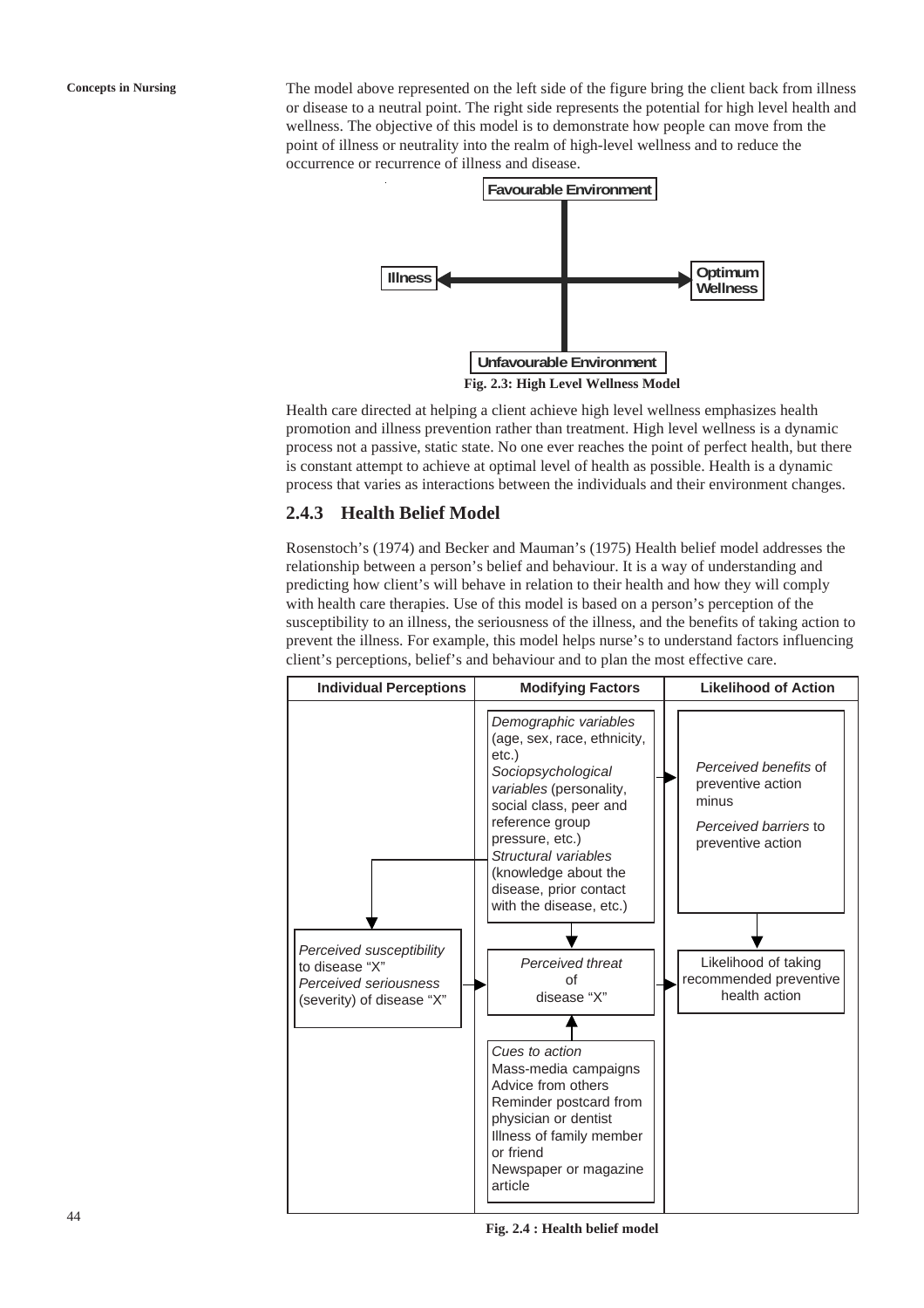**Concepts in Nursing** The model above represented on the left side of the figure bring the client back from illness or disease to a neutral point. The right side represents the potential for high level health and wellness. The objective of this model is to demonstrate how people can move from the point of illness or neutrality into the realm of high-level wellness and to reduce the occurrence or recurrence of illness and disease.



Health care directed at helping a client achieve high level wellness emphasizes health promotion and illness prevention rather than treatment. High level wellness is a dynamic process not a passive, static state. No one ever reaches the point of perfect health, but there is constant attempt to achieve at optimal level of health as possible. Health is a dynamic process that varies as interactions between the individuals and their environment changes.

## **2.4.3 Health Belief Model**

Rosenstoch's (1974) and Becker and Mauman's (1975) Health belief model addresses the relationship between a person's belief and behaviour. It is a way of understanding and predicting how client's will behave in relation to their health and how they will comply with health care therapies. Use of this model is based on a person's perception of the susceptibility to an illness, the seriousness of the illness, and the benefits of taking action to prevent the illness. For example, this model helps nurse's to understand factors influencing client's perceptions, belief's and behaviour and to plan the most effective care.



**Fig. 2.4 : Health belief model**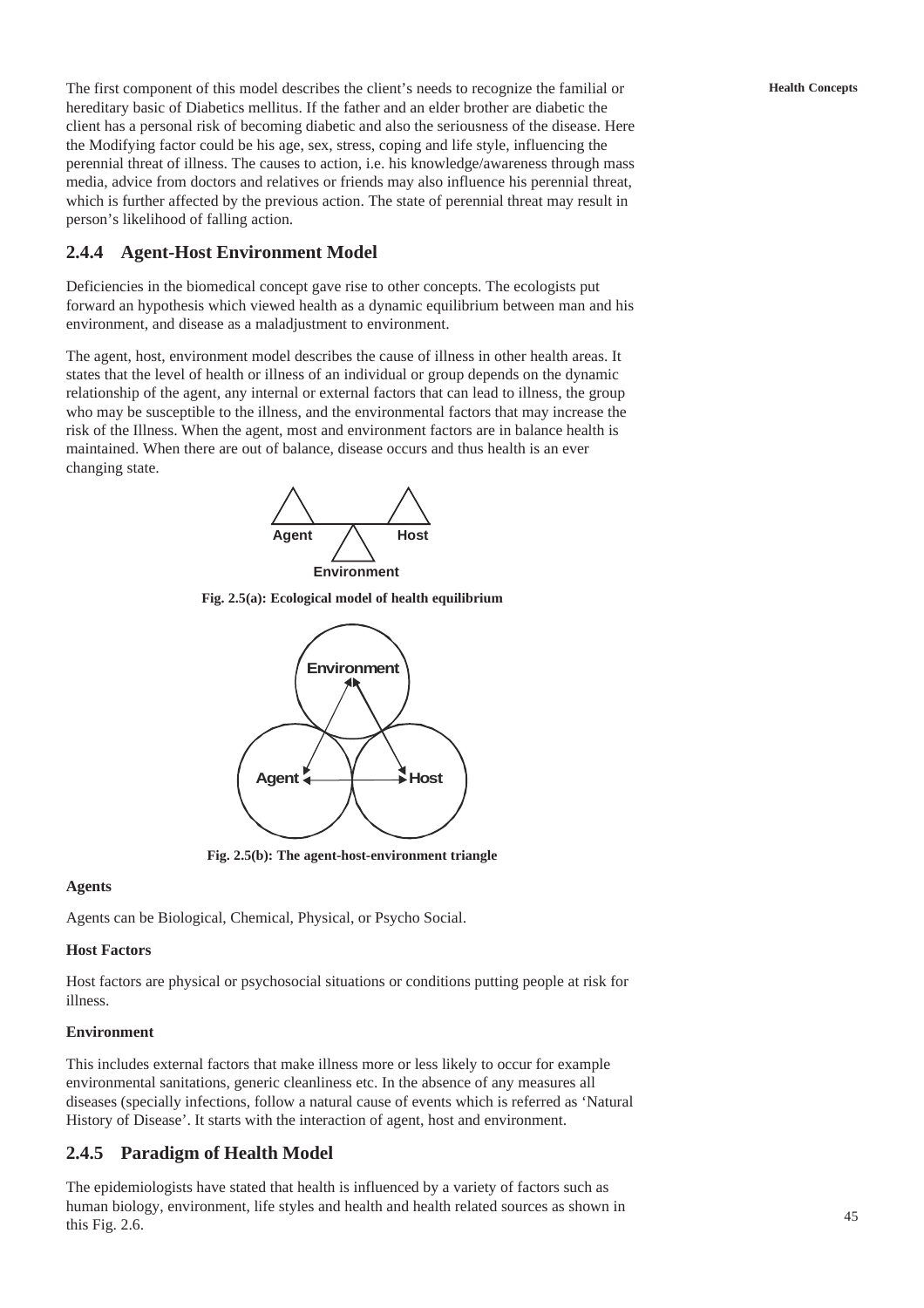The first component of this model describes the client's needs to recognize the familial or hereditary basic of Diabetics mellitus. If the father and an elder brother are diabetic the client has a personal risk of becoming diabetic and also the seriousness of the disease. Here the Modifying factor could be his age, sex, stress, coping and life style, influencing the perennial threat of illness. The causes to action, i.e. his knowledge/awareness through mass media, advice from doctors and relatives or friends may also influence his perennial threat, which is further affected by the previous action. The state of perennial threat may result in person's likelihood of falling action.

# **2.4.4 Agent-Host Environment Model**

Deficiencies in the biomedical concept gave rise to other concepts. The ecologists put forward an hypothesis which viewed health as a dynamic equilibrium between man and his environment, and disease as a maladjustment to environment.

The agent, host, environment model describes the cause of illness in other health areas. It states that the level of health or illness of an individual or group depends on the dynamic relationship of the agent, any internal or external factors that can lead to illness, the group who may be susceptible to the illness, and the environmental factors that may increase the risk of the Illness. When the agent, most and environment factors are in balance health is maintained. When there are out of balance, disease occurs and thus health is an ever changing state.



**Fig. 2.5(a): Ecological model of health equilibrium**



**Fig. 2.5(b): The agent-host-environment triangle**

### **Agents**

Agents can be Biological, Chemical, Physical, or Psycho Social.

# **Host Factors**

Host factors are physical or psychosocial situations or conditions putting people at risk for illness.

# **Environment**

This includes external factors that make illness more or less likely to occur for example environmental sanitations, generic cleanliness etc. In the absence of any measures all diseases (specially infections, follow a natural cause of events which is referred as 'Natural History of Disease'. It starts with the interaction of agent, host and environment.

# **2.4.5 Paradigm of Health Model**

The epidemiologists have stated that health is influenced by a variety of factors such as human biology, environment, life styles and health and health related sources as shown in this Fig. 2.6.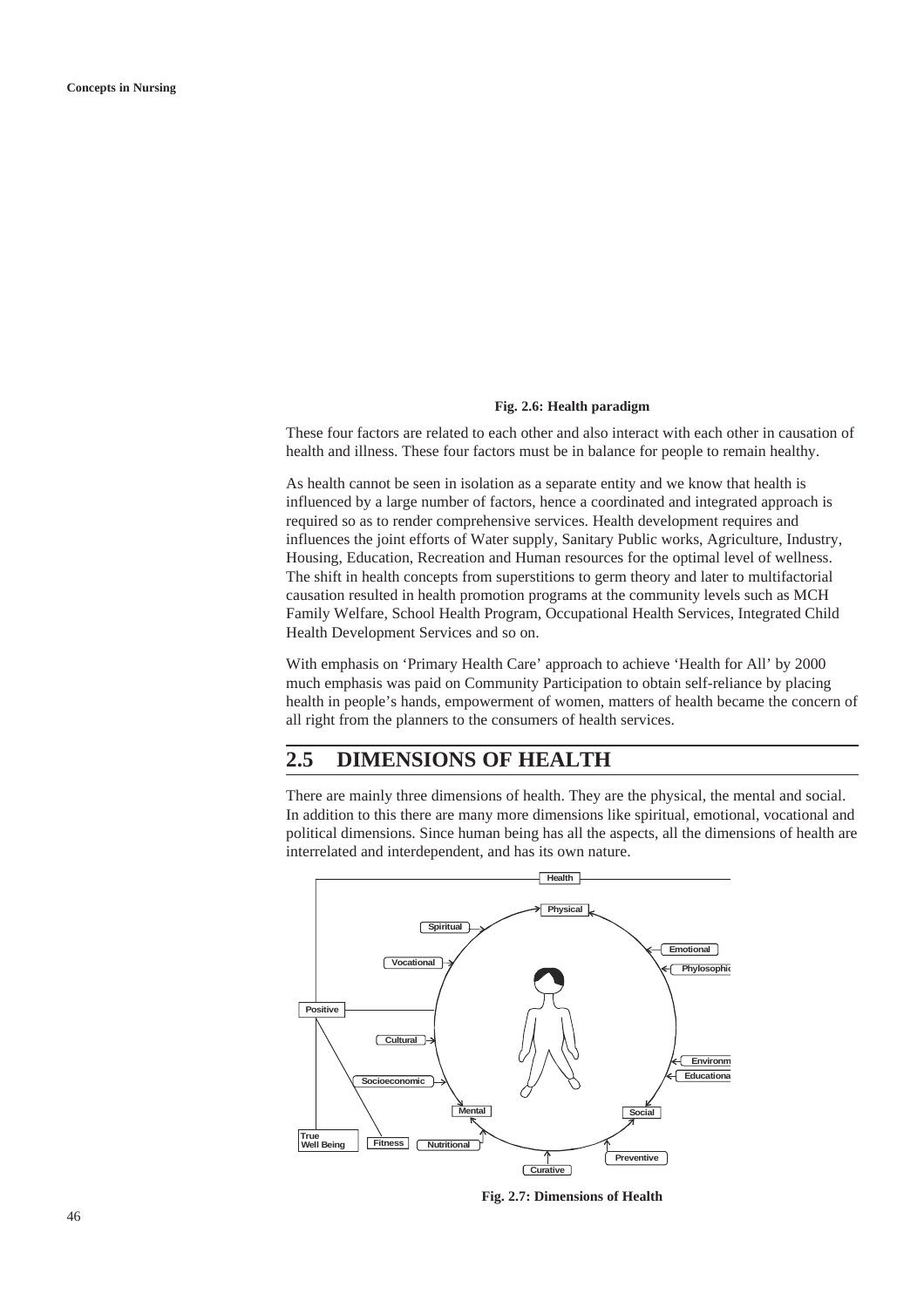#### **Fig. 2.6: Health paradigm**

These four factors are related to each other and also interact with each other in causation of health and illness. These four factors must be in balance for people to remain healthy.

As health cannot be seen in isolation as a separate entity and we know that health is influenced by a large number of factors, hence a coordinated and integrated approach is required so as to render comprehensive services. Health development requires and influences the joint efforts of Water supply, Sanitary Public works, Agriculture, Industry, Housing, Education, Recreation and Human resources for the optimal level of wellness. The shift in health concepts from superstitions to germ theory and later to multifactorial causation resulted in health promotion programs at the community levels such as MCH Family Welfare, School Health Program, Occupational Health Services, Integrated Child Health Development Services and so on.

With emphasis on 'Primary Health Care' approach to achieve 'Health for All' by 2000 much emphasis was paid on Community Participation to obtain self-reliance by placing health in people's hands, empowerment of women, matters of health became the concern of all right from the planners to the consumers of health services.

# **2.5 DIMENSIONS OF HEALTH**

There are mainly three dimensions of health. They are the physical, the mental and social. In addition to this there are many more dimensions like spiritual, emotional, vocational and political dimensions. Since human being has all the aspects, all the dimensions of health are interrelated and interdependent, and has its own nature.



**Fig. 2.7: Dimensions of Health**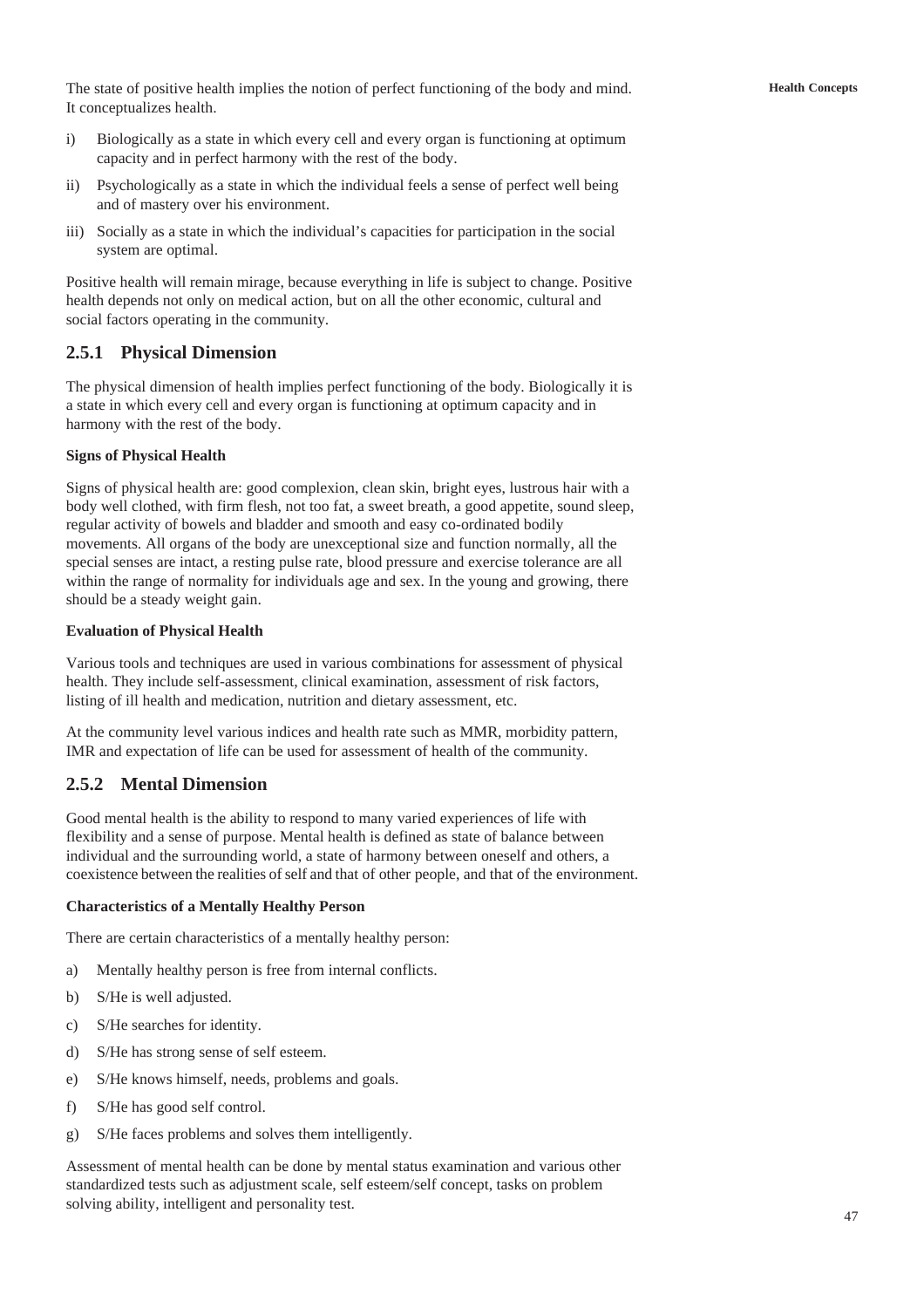The state of positive health implies the notion of perfect functioning of the body and mind. It conceptualizes health.

- i) Biologically as a state in which every cell and every organ is functioning at optimum capacity and in perfect harmony with the rest of the body.
- ii) Psychologically as a state in which the individual feels a sense of perfect well being and of mastery over his environment.
- iii) Socially as a state in which the individual's capacities for participation in the social system are optimal.

Positive health will remain mirage, because everything in life is subject to change. Positive health depends not only on medical action, but on all the other economic, cultural and social factors operating in the community.

## **2.5.1 Physical Dimension**

The physical dimension of health implies perfect functioning of the body. Biologically it is a state in which every cell and every organ is functioning at optimum capacity and in harmony with the rest of the body.

### **Signs of Physical Health**

Signs of physical health are: good complexion, clean skin, bright eyes, lustrous hair with a body well clothed, with firm flesh, not too fat, a sweet breath, a good appetite, sound sleep, regular activity of bowels and bladder and smooth and easy co-ordinated bodily movements. All organs of the body are unexceptional size and function normally, all the special senses are intact, a resting pulse rate, blood pressure and exercise tolerance are all within the range of normality for individuals age and sex. In the young and growing, there should be a steady weight gain.

### **Evaluation of Physical Health**

Various tools and techniques are used in various combinations for assessment of physical health. They include self-assessment, clinical examination, assessment of risk factors, listing of ill health and medication, nutrition and dietary assessment, etc.

At the community level various indices and health rate such as MMR, morbidity pattern, IMR and expectation of life can be used for assessment of health of the community.

# **2.5.2 Mental Dimension**

Good mental health is the ability to respond to many varied experiences of life with flexibility and a sense of purpose. Mental health is defined as state of balance between individual and the surrounding world, a state of harmony between oneself and others, a coexistence between the realities of self and that of other people, and that of the environment.

### **Characteristics of a Mentally Healthy Person**

There are certain characteristics of a mentally healthy person:

- a) Mentally healthy person is free from internal conflicts.
- b) S/He is well adjusted.
- c) S/He searches for identity.
- d) S/He has strong sense of self esteem.
- e) S/He knows himself, needs, problems and goals.
- f) S/He has good self control.
- g) S/He faces problems and solves them intelligently.

Assessment of mental health can be done by mental status examination and various other standardized tests such as adjustment scale, self esteem/self concept, tasks on problem solving ability, intelligent and personality test.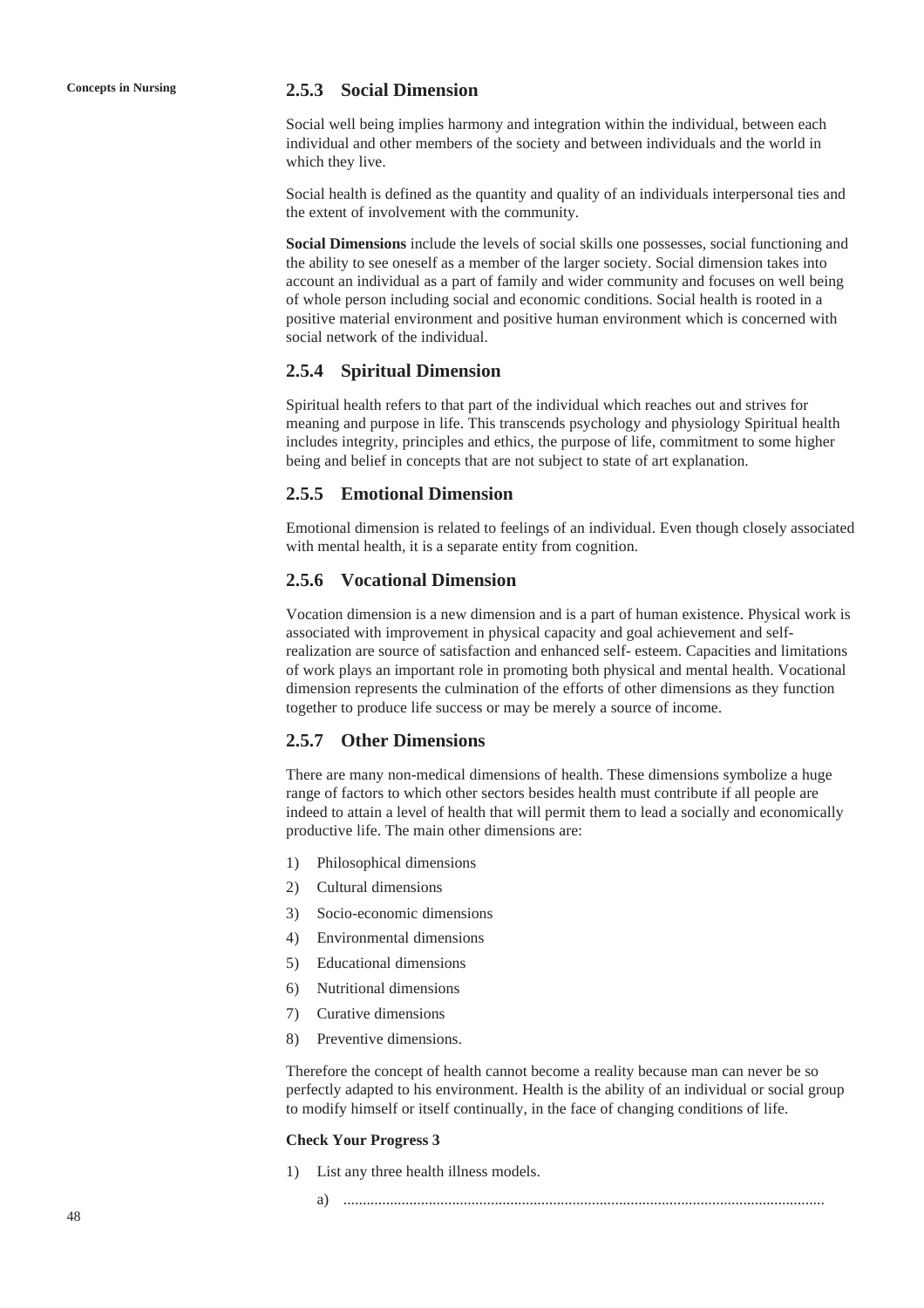## **Concepts in Nursing 2.5.3 Social Dimension**

Social well being implies harmony and integration within the individual, between each individual and other members of the society and between individuals and the world in which they live.

Social health is defined as the quantity and quality of an individuals interpersonal ties and the extent of involvement with the community.

**Social Dimensions** include the levels of social skills one possesses, social functioning and the ability to see oneself as a member of the larger society. Social dimension takes into account an individual as a part of family and wider community and focuses on well being of whole person including social and economic conditions. Social health is rooted in a positive material environment and positive human environment which is concerned with social network of the individual.

## **2.5.4 Spiritual Dimension**

Spiritual health refers to that part of the individual which reaches out and strives for meaning and purpose in life. This transcends psychology and physiology Spiritual health includes integrity, principles and ethics, the purpose of life, commitment to some higher being and belief in concepts that are not subject to state of art explanation.

## **2.5.5 Emotional Dimension**

Emotional dimension is related to feelings of an individual. Even though closely associated with mental health, it is a separate entity from cognition.

## **2.5.6 Vocational Dimension**

Vocation dimension is a new dimension and is a part of human existence. Physical work is associated with improvement in physical capacity and goal achievement and selfrealization are source of satisfaction and enhanced self- esteem. Capacities and limitations of work plays an important role in promoting both physical and mental health. Vocational dimension represents the culmination of the efforts of other dimensions as they function together to produce life success or may be merely a source of income.

## **2.5.7 Other Dimensions**

There are many non-medical dimensions of health. These dimensions symbolize a huge range of factors to which other sectors besides health must contribute if all people are indeed to attain a level of health that will permit them to lead a socially and economically productive life. The main other dimensions are:

- 1) Philosophical dimensions
- 2) Cultural dimensions
- 3) Socio-economic dimensions
- 4) Environmental dimensions
- 5) Educational dimensions
- 6) Nutritional dimensions
- 7) Curative dimensions
- 8) Preventive dimensions.

Therefore the concept of health cannot become a reality because man can never be so perfectly adapted to his environment. Health is the ability of an individual or social group to modify himself or itself continually, in the face of changing conditions of life.

#### **Check Your Progress 3**

- 1) List any three health illness models.
	- a) ............................................................................................................................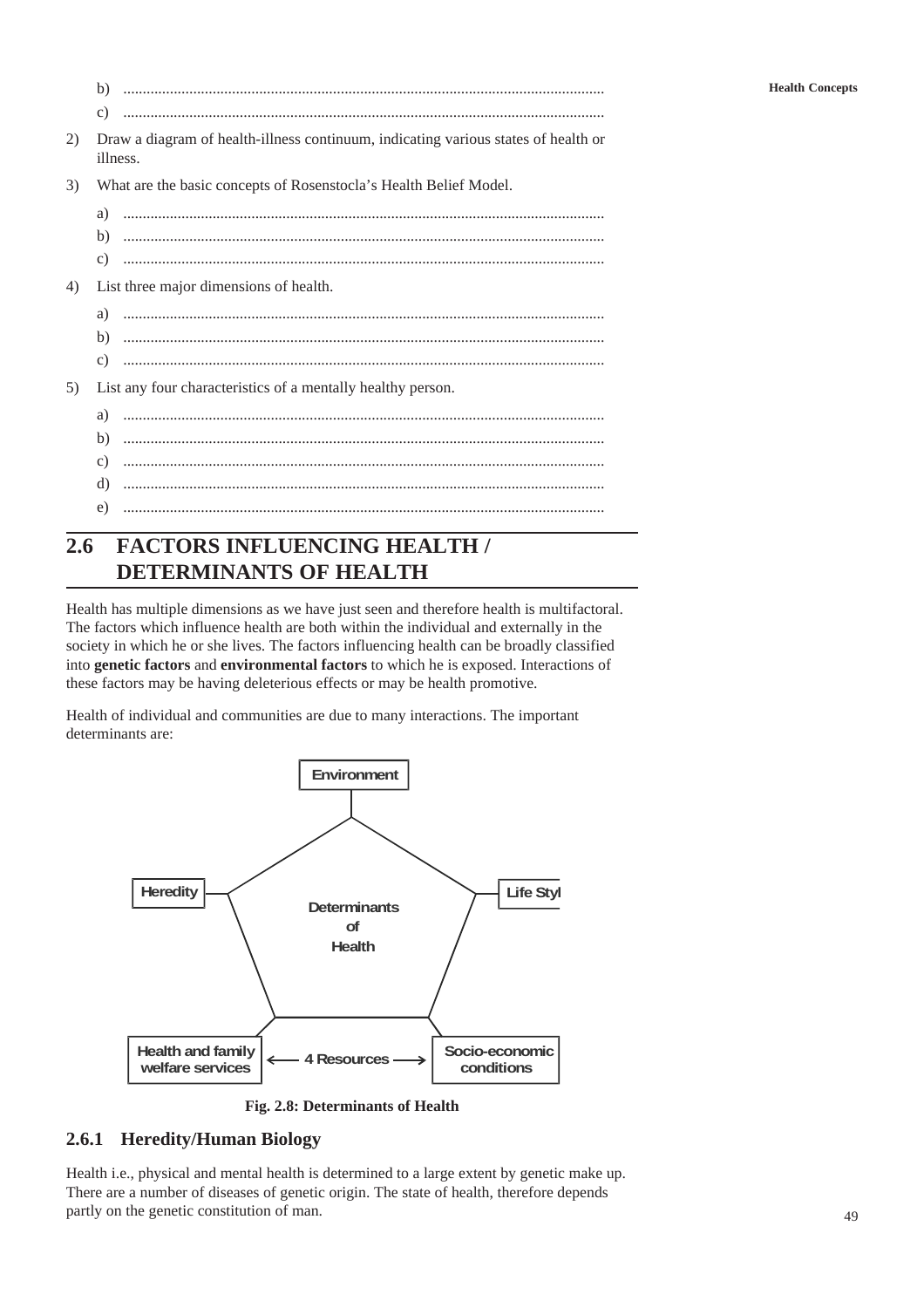|    | b)                                                                                             |
|----|------------------------------------------------------------------------------------------------|
|    | $\mathcal{C}$ )                                                                                |
| 2) | Draw a diagram of health-illness continuum, indicating various states of health or<br>illness. |
| 3) | What are the basic concepts of Rosenstocla's Health Belief Model.                              |
|    |                                                                                                |
|    |                                                                                                |
|    |                                                                                                |
| 4) | List three major dimensions of health.                                                         |
|    | a)                                                                                             |
|    |                                                                                                |
|    | C)                                                                                             |
| 5) | List any four characteristics of a mentally healthy person.                                    |
|    | a)                                                                                             |
|    | b)                                                                                             |
|    | c)                                                                                             |
|    | d)                                                                                             |
|    | e)                                                                                             |

# **2.6 FACTORS INFLUENCING HEALTH / DETERMINANTS OF HEALTH**

Health has multiple dimensions as we have just seen and therefore health is multifactoral. The factors which influence health are both within the individual and externally in the society in which he or she lives. The factors influencing health can be broadly classified into **genetic factors** and **environmental factors** to which he is exposed. Interactions of these factors may be having deleterious effects or may be health promotive.

Health of individual and communities are due to many interactions. The important determinants are:



**Fig. 2.8: Determinants of Health**

# **2.6.1 Heredity/Human Biology**

Health i.e., physical and mental health is determined to a large extent by genetic make up. There are a number of diseases of genetic origin. The state of health, therefore depends partly on the genetic constitution of man.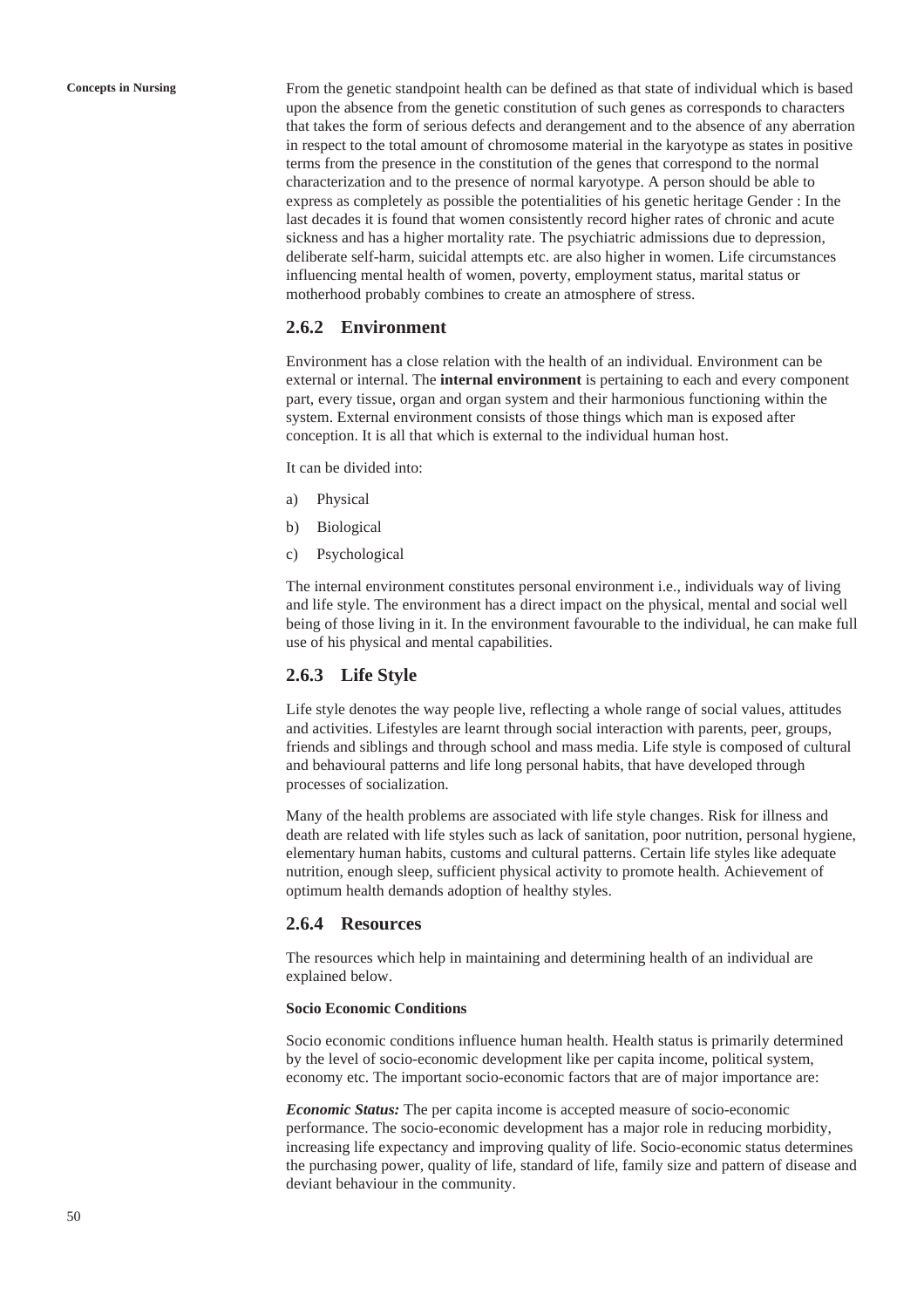**Concepts in Nursing** From the genetic standpoint health can be defined as that state of individual which is based upon the absence from the genetic constitution of such genes as corresponds to characters that takes the form of serious defects and derangement and to the absence of any aberration in respect to the total amount of chromosome material in the karyotype as states in positive terms from the presence in the constitution of the genes that correspond to the normal characterization and to the presence of normal karyotype. A person should be able to express as completely as possible the potentialities of his genetic heritage Gender : In the last decades it is found that women consistently record higher rates of chronic and acute sickness and has a higher mortality rate. The psychiatric admissions due to depression, deliberate self-harm, suicidal attempts etc. are also higher in women. Life circumstances influencing mental health of women, poverty, employment status, marital status or motherhood probably combines to create an atmosphere of stress.

## **2.6.2 Environment**

Environment has a close relation with the health of an individual. Environment can be external or internal. The **internal environment** is pertaining to each and every component part, every tissue, organ and organ system and their harmonious functioning within the system. External environment consists of those things which man is exposed after conception. It is all that which is external to the individual human host.

It can be divided into:

- a) Physical
- b) Biological
- c) Psychological

The internal environment constitutes personal environment i.e., individuals way of living and life style. The environment has a direct impact on the physical, mental and social well being of those living in it. In the environment favourable to the individual, he can make full use of his physical and mental capabilities.

## **2.6.3 Life Style**

Life style denotes the way people live, reflecting a whole range of social values, attitudes and activities. Lifestyles are learnt through social interaction with parents, peer, groups, friends and siblings and through school and mass media. Life style is composed of cultural and behavioural patterns and life long personal habits, that have developed through processes of socialization.

Many of the health problems are associated with life style changes. Risk for illness and death are related with life styles such as lack of sanitation, poor nutrition, personal hygiene, elementary human habits, customs and cultural patterns. Certain life styles like adequate nutrition, enough sleep, sufficient physical activity to promote health. Achievement of optimum health demands adoption of healthy styles.

## **2.6.4 Resources**

The resources which help in maintaining and determining health of an individual are explained below.

#### **Socio Economic Conditions**

Socio economic conditions influence human health. Health status is primarily determined by the level of socio-economic development like per capita income, political system, economy etc. The important socio-economic factors that are of major importance are:

*Economic Status:* The per capita income is accepted measure of socio-economic performance. The socio-economic development has a major role in reducing morbidity, increasing life expectancy and improving quality of life. Socio-economic status determines the purchasing power, quality of life, standard of life, family size and pattern of disease and deviant behaviour in the community.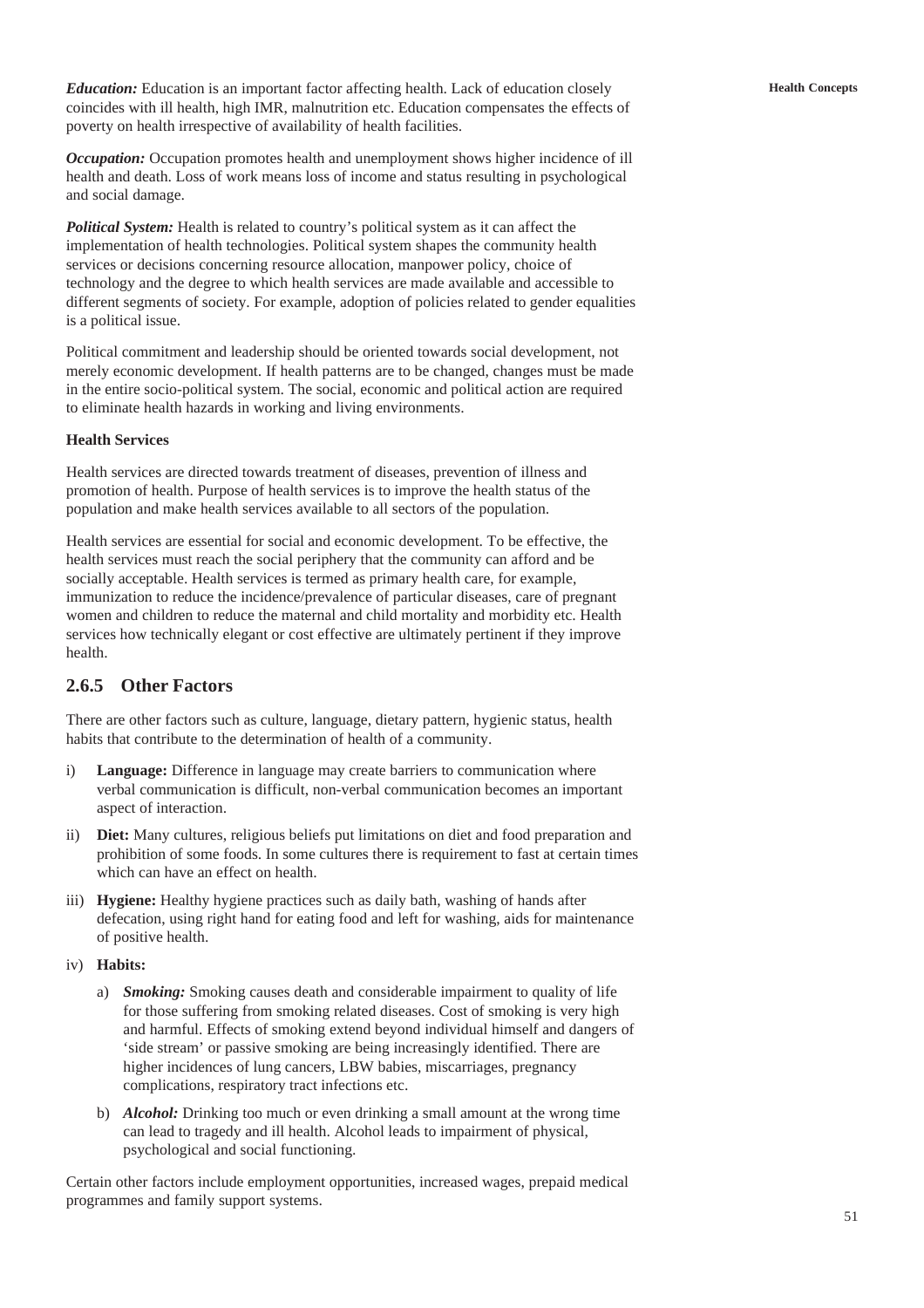*Education:* Education is an important factor affecting health. Lack of education closely coincides with ill health, high IMR, malnutrition etc. Education compensates the effects of poverty on health irrespective of availability of health facilities.

*Occupation:* Occupation promotes health and unemployment shows higher incidence of ill health and death. Loss of work means loss of income and status resulting in psychological and social damage.

*Political System:* Health is related to country's political system as it can affect the implementation of health technologies. Political system shapes the community health services or decisions concerning resource allocation, manpower policy, choice of technology and the degree to which health services are made available and accessible to different segments of society. For example, adoption of policies related to gender equalities is a political issue.

Political commitment and leadership should be oriented towards social development, not merely economic development. If health patterns are to be changed, changes must be made in the entire socio-political system. The social, economic and political action are required to eliminate health hazards in working and living environments.

### **Health Services**

Health services are directed towards treatment of diseases, prevention of illness and promotion of health. Purpose of health services is to improve the health status of the population and make health services available to all sectors of the population.

Health services are essential for social and economic development. To be effective, the health services must reach the social periphery that the community can afford and be socially acceptable. Health services is termed as primary health care, for example, immunization to reduce the incidence/prevalence of particular diseases, care of pregnant women and children to reduce the maternal and child mortality and morbidity etc. Health services how technically elegant or cost effective are ultimately pertinent if they improve health.

## **2.6.5 Other Factors**

There are other factors such as culture, language, dietary pattern, hygienic status, health habits that contribute to the determination of health of a community.

- i) **Language:** Difference in language may create barriers to communication where verbal communication is difficult, non-verbal communication becomes an important aspect of interaction.
- ii) **Diet:** Many cultures, religious beliefs put limitations on diet and food preparation and prohibition of some foods. In some cultures there is requirement to fast at certain times which can have an effect on health.
- iii) **Hygiene:** Healthy hygiene practices such as daily bath, washing of hands after defecation, using right hand for eating food and left for washing, aids for maintenance of positive health.
- iv) **Habits:**
	- a) *Smoking:* Smoking causes death and considerable impairment to quality of life for those suffering from smoking related diseases. Cost of smoking is very high and harmful. Effects of smoking extend beyond individual himself and dangers of 'side stream' or passive smoking are being increasingly identified. There are higher incidences of lung cancers, LBW babies, miscarriages, pregnancy complications, respiratory tract infections etc.
	- b) *Alcohol:* Drinking too much or even drinking a small amount at the wrong time can lead to tragedy and ill health. Alcohol leads to impairment of physical, psychological and social functioning.

Certain other factors include employment opportunities, increased wages, prepaid medical programmes and family support systems.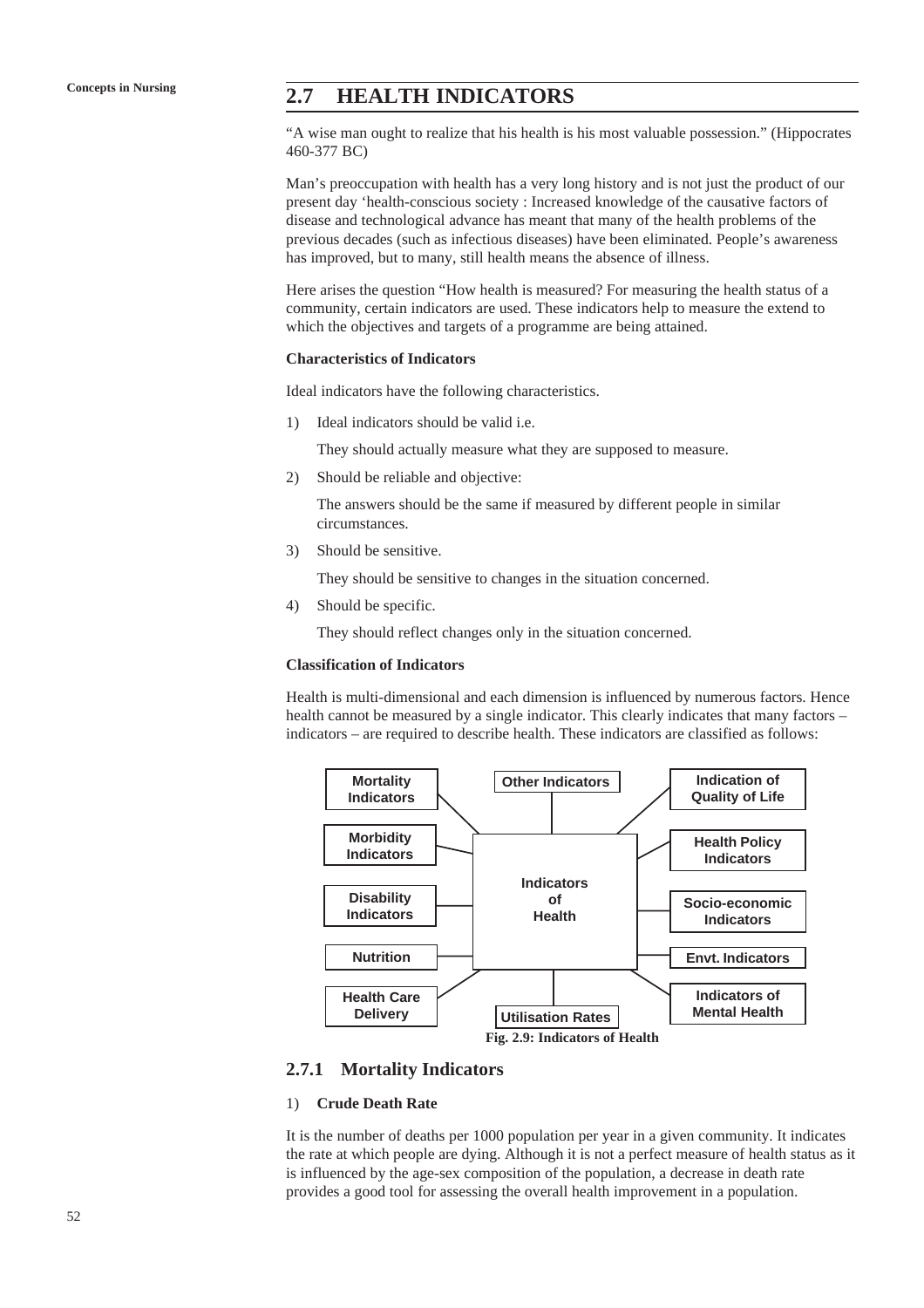# **Concepts in Nursing 2.7 HEALTH INDICATORS**

"A wise man ought to realize that his health is his most valuable possession." (Hippocrates 460-377 BC)

Man's preoccupation with health has a very long history and is not just the product of our present day 'health-conscious society : Increased knowledge of the causative factors of disease and technological advance has meant that many of the health problems of the previous decades (such as infectious diseases) have been eliminated. People's awareness has improved, but to many, still health means the absence of illness.

Here arises the question "How health is measured? For measuring the health status of a community, certain indicators are used. These indicators help to measure the extend to which the objectives and targets of a programme are being attained.

#### **Characteristics of Indicators**

Ideal indicators have the following characteristics.

1) Ideal indicators should be valid i.e.

They should actually measure what they are supposed to measure.

2) Should be reliable and objective:

The answers should be the same if measured by different people in similar circumstances.

3) Should be sensitive.

They should be sensitive to changes in the situation concerned.

4) Should be specific.

They should reflect changes only in the situation concerned.

## **Classification of Indicators**

Health is multi-dimensional and each dimension is influenced by numerous factors. Hence health cannot be measured by a single indicator. This clearly indicates that many factors – indicators – are required to describe health. These indicators are classified as follows:



### **2.7.1 Mortality Indicators**

#### 1) **Crude Death Rate**

It is the number of deaths per 1000 population per year in a given community. It indicates the rate at which people are dying. Although it is not a perfect measure of health status as it is influenced by the age-sex composition of the population, a decrease in death rate provides a good tool for assessing the overall health improvement in a population.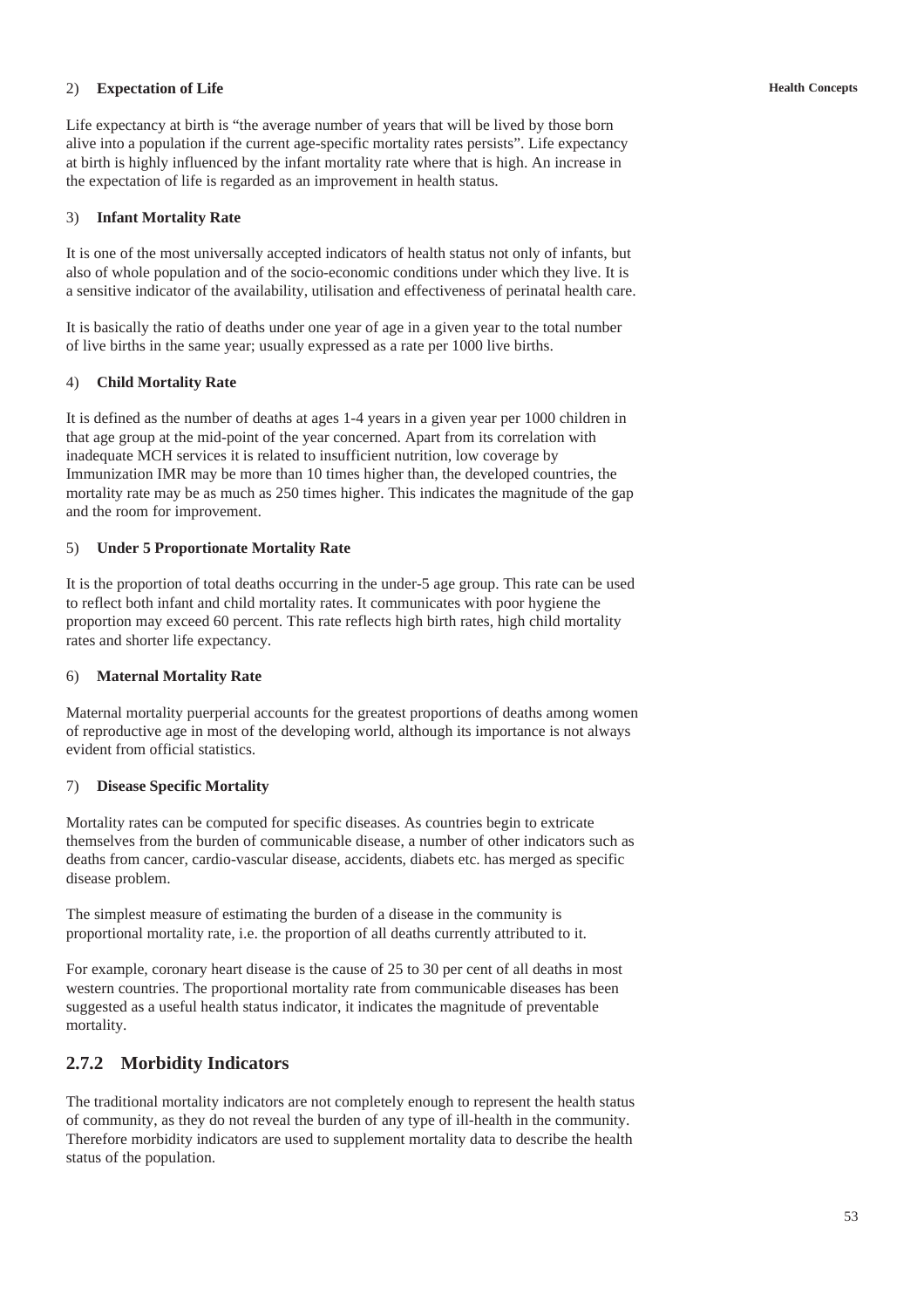### 2) **Expectation of Life**

Life expectancy at birth is "the average number of years that will be lived by those born alive into a population if the current age-specific mortality rates persists". Life expectancy at birth is highly influenced by the infant mortality rate where that is high. An increase in the expectation of life is regarded as an improvement in health status.

### 3) **Infant Mortality Rate**

It is one of the most universally accepted indicators of health status not only of infants, but also of whole population and of the socio-economic conditions under which they live. It is a sensitive indicator of the availability, utilisation and effectiveness of perinatal health care.

It is basically the ratio of deaths under one year of age in a given year to the total number of live births in the same year; usually expressed as a rate per 1000 live births.

#### 4) **Child Mortality Rate**

It is defined as the number of deaths at ages 1-4 years in a given year per 1000 children in that age group at the mid-point of the year concerned. Apart from its correlation with inadequate MCH services it is related to insufficient nutrition, low coverage by Immunization IMR may be more than 10 times higher than, the developed countries, the mortality rate may be as much as 250 times higher. This indicates the magnitude of the gap and the room for improvement.

#### 5) **Under 5 Proportionate Mortality Rate**

It is the proportion of total deaths occurring in the under-5 age group. This rate can be used to reflect both infant and child mortality rates. It communicates with poor hygiene the proportion may exceed 60 percent. This rate reflects high birth rates, high child mortality rates and shorter life expectancy.

#### 6) **Maternal Mortality Rate**

Maternal mortality puerperial accounts for the greatest proportions of deaths among women of reproductive age in most of the developing world, although its importance is not always evident from official statistics.

### 7) **Disease Specific Mortality**

Mortality rates can be computed for specific diseases. As countries begin to extricate themselves from the burden of communicable disease, a number of other indicators such as deaths from cancer, cardio-vascular disease, accidents, diabets etc. has merged as specific disease problem.

The simplest measure of estimating the burden of a disease in the community is proportional mortality rate, i.e. the proportion of all deaths currently attributed to it.

For example, coronary heart disease is the cause of 25 to 30 per cent of all deaths in most western countries. The proportional mortality rate from communicable diseases has been suggested as a useful health status indicator, it indicates the magnitude of preventable mortality.

# **2.7.2 Morbidity Indicators**

The traditional mortality indicators are not completely enough to represent the health status of community, as they do not reveal the burden of any type of ill-health in the community. Therefore morbidity indicators are used to supplement mortality data to describe the health status of the population.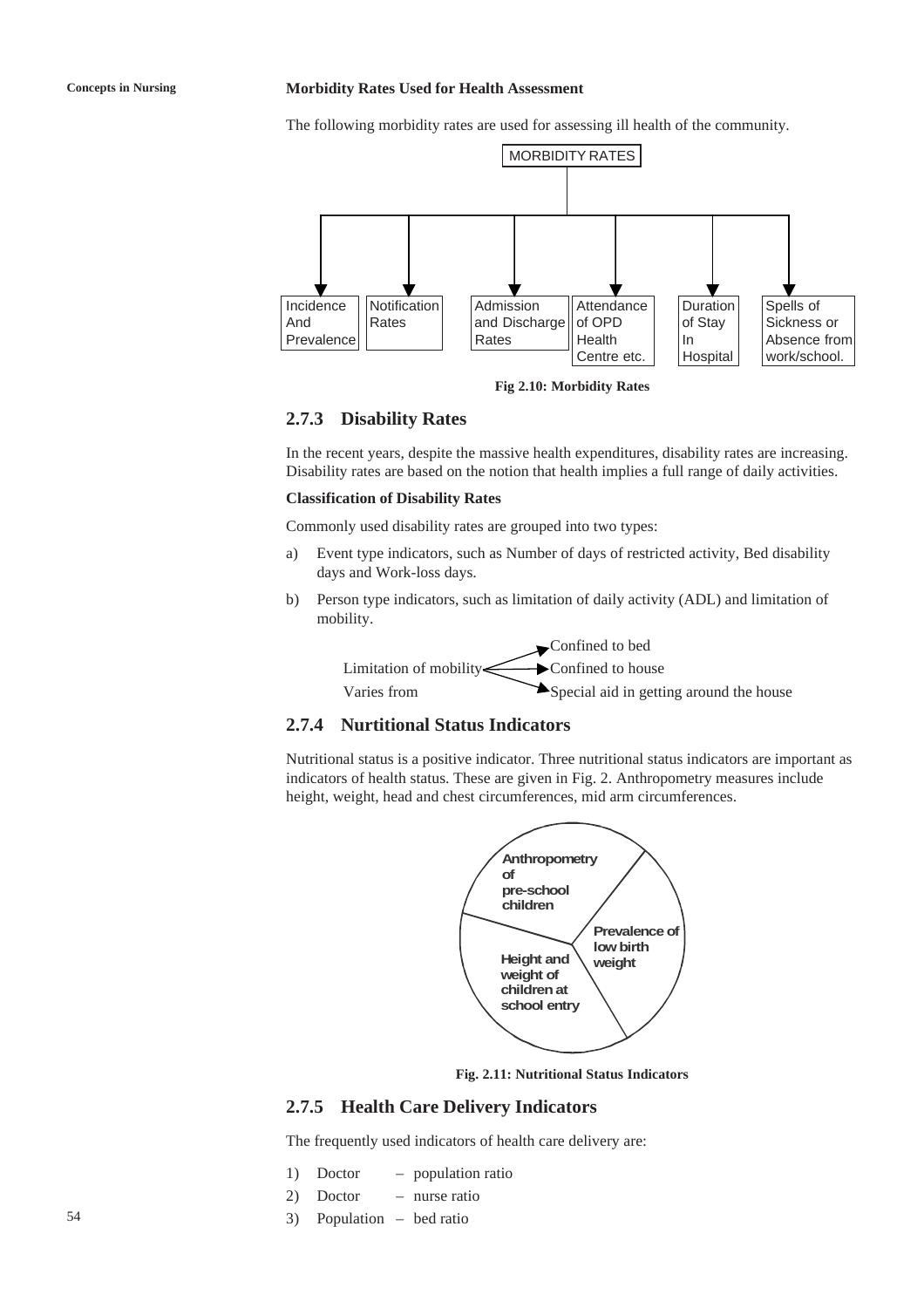#### **Concepts in Nursing Morbidity Rates Used for Health Assessment**

The following morbidity rates are used for assessing ill health of the community.



**Fig 2.10: Morbidity Rates**

### **2.7.3 Disability Rates**

In the recent years, despite the massive health expenditures, disability rates are increasing. Disability rates are based on the notion that health implies a full range of daily activities.

#### **Classification of Disability Rates**

Commonly used disability rates are grouped into two types:

- a) Event type indicators, such as Number of days of restricted activity, Bed disability days and Work-loss days.
- b) Person type indicators, such as limitation of daily activity (ADL) and limitation of mobility.



## **2.7.4 Nurtitional Status Indicators**

Nutritional status is a positive indicator. Three nutritional status indicators are important as indicators of health status. These are given in Fig. 2. Anthropometry measures include height, weight, head and chest circumferences, mid arm circumferences.



**Fig. 2.11: Nutritional Status Indicators**

### **2.7.5 Health Care Delivery Indicators**

The frequently used indicators of health care delivery are:

- 1) Doctor population ratio
- 2) Doctor nurse ratio
- 3) Population bed ratio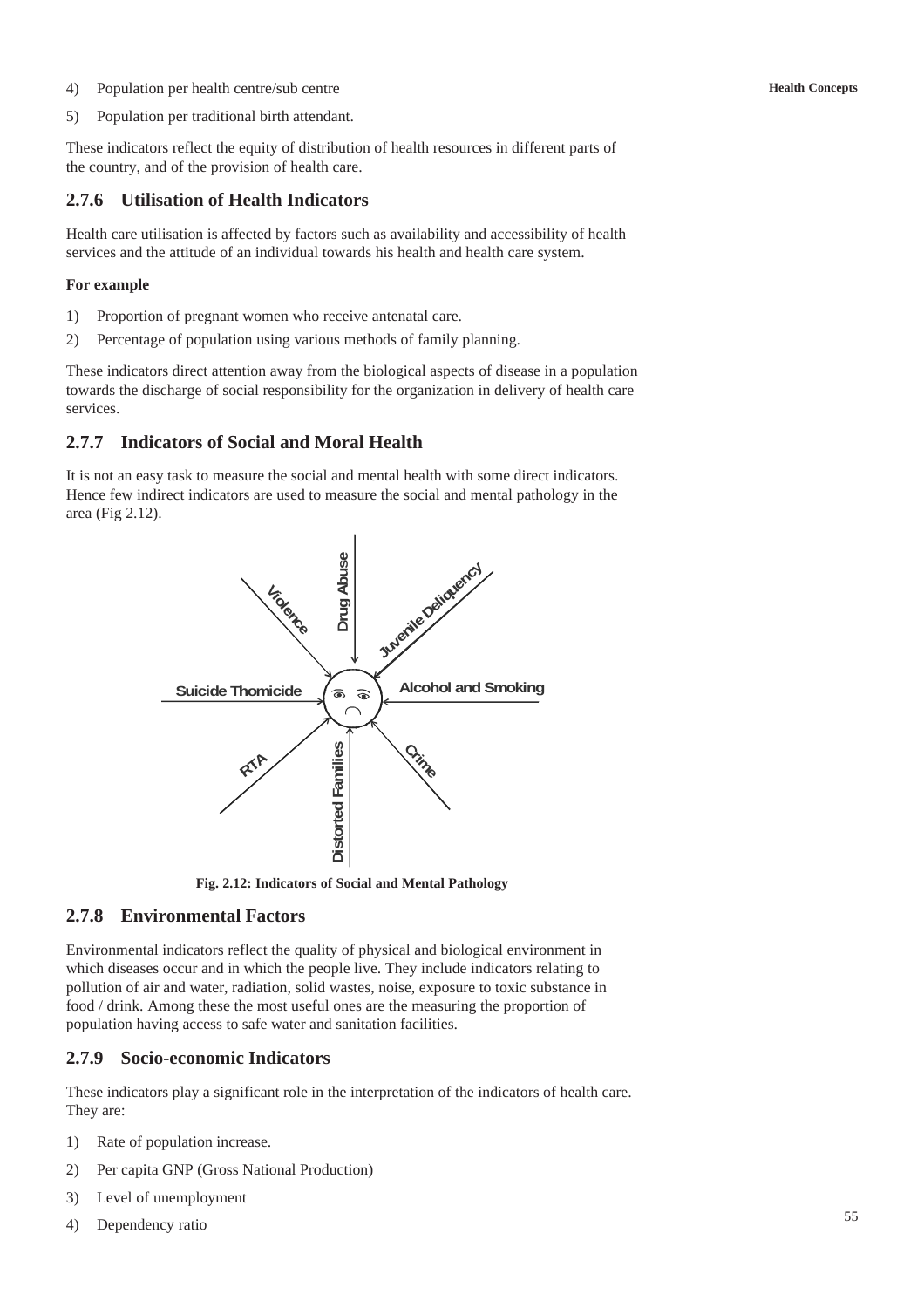4) Population per health centre/sub centre

5) Population per traditional birth attendant.

These indicators reflect the equity of distribution of health resources in different parts of the country, and of the provision of health care.

## **2.7.6 Utilisation of Health Indicators**

Health care utilisation is affected by factors such as availability and accessibility of health services and the attitude of an individual towards his health and health care system.

#### **For example**

- 1) Proportion of pregnant women who receive antenatal care.
- 2) Percentage of population using various methods of family planning.

These indicators direct attention away from the biological aspects of disease in a population towards the discharge of social responsibility for the organization in delivery of health care services.

## **2.7.7 Indicators of Social and Moral Health**

It is not an easy task to measure the social and mental health with some direct indicators. Hence few indirect indicators are used to measure the social and mental pathology in the area (Fig 2.12).



**Fig. 2.12: Indicators of Social and Mental Pathology**

## **2.7.8 Environmental Factors**

Environmental indicators reflect the quality of physical and biological environment in which diseases occur and in which the people live. They include indicators relating to pollution of air and water, radiation, solid wastes, noise, exposure to toxic substance in food / drink. Among these the most useful ones are the measuring the proportion of population having access to safe water and sanitation facilities.

## **2.7.9 Socio-economic Indicators**

These indicators play a significant role in the interpretation of the indicators of health care. They are:

- 1) Rate of population increase.
- 2) Per capita GNP (Gross National Production)
- 3) Level of unemployment
- 4) Dependency ratio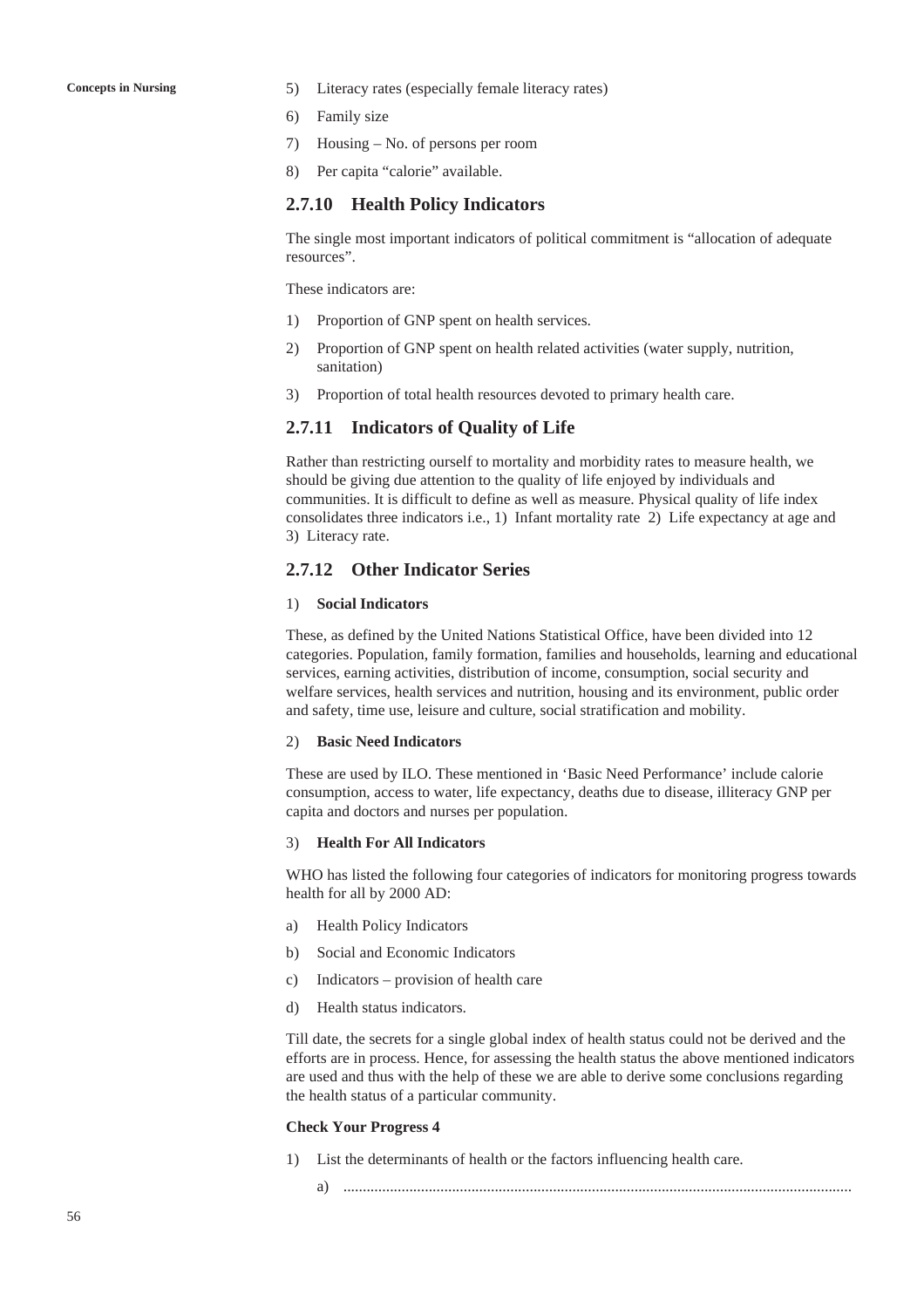- **Concepts in Nursing** 5) Literacy rates (especially female literacy rates)
	- 6) Family size
	- 7) Housing No. of persons per room
	- 8) Per capita "calorie" available.

### **2.7.10 Health Policy Indicators**

The single most important indicators of political commitment is "allocation of adequate resources".

These indicators are:

- 1) Proportion of GNP spent on health services.
- 2) Proportion of GNP spent on health related activities (water supply, nutrition, sanitation)
- 3) Proportion of total health resources devoted to primary health care.

#### **2.7.11 Indicators of Quality of Life**

Rather than restricting ourself to mortality and morbidity rates to measure health, we should be giving due attention to the quality of life enjoyed by individuals and communities. It is difficult to define as well as measure. Physical quality of life index consolidates three indicators i.e., 1) Infant mortality rate 2) Life expectancy at age and 3) Literacy rate.

## **2.7.12 Other Indicator Series**

### 1) **Social Indicators**

These, as defined by the United Nations Statistical Office, have been divided into 12 categories. Population, family formation, families and households, learning and educational services, earning activities, distribution of income, consumption, social security and welfare services, health services and nutrition, housing and its environment, public order and safety, time use, leisure and culture, social stratification and mobility.

#### 2) **Basic Need Indicators**

These are used by ILO. These mentioned in 'Basic Need Performance' include calorie consumption, access to water, life expectancy, deaths due to disease, illiteracy GNP per capita and doctors and nurses per population.

#### 3) **Health For All Indicators**

WHO has listed the following four categories of indicators for monitoring progress towards health for all by 2000 AD:

- a) Health Policy Indicators
- b) Social and Economic Indicators
- c) Indicators provision of health care
- d) Health status indicators.

Till date, the secrets for a single global index of health status could not be derived and the efforts are in process. Hence, for assessing the health status the above mentioned indicators are used and thus with the help of these we are able to derive some conclusions regarding the health status of a particular community.

#### **Check Your Progress 4**

- 1) List the determinants of health or the factors influencing health care.
	- a) ...................................................................................................................................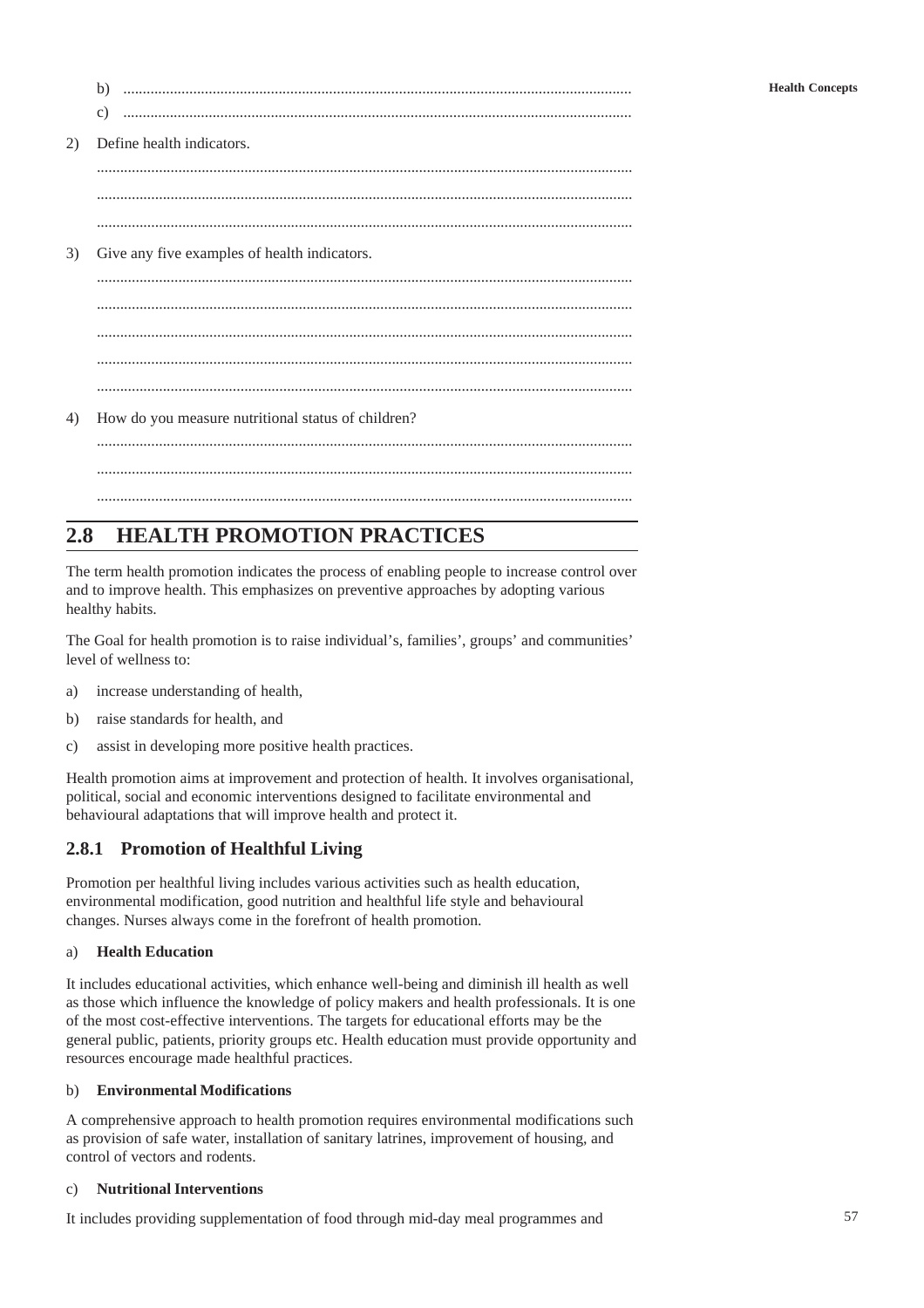|    | b)                                                 |  |  |  |  |  |
|----|----------------------------------------------------|--|--|--|--|--|
|    | $\mathbf{c})$                                      |  |  |  |  |  |
| 2) | Define health indicators.                          |  |  |  |  |  |
|    |                                                    |  |  |  |  |  |
|    |                                                    |  |  |  |  |  |
| 3) |                                                    |  |  |  |  |  |
|    | Give any five examples of health indicators.       |  |  |  |  |  |
|    |                                                    |  |  |  |  |  |
|    |                                                    |  |  |  |  |  |
|    |                                                    |  |  |  |  |  |
|    |                                                    |  |  |  |  |  |
|    |                                                    |  |  |  |  |  |
| 4) | How do you measure nutritional status of children? |  |  |  |  |  |
|    |                                                    |  |  |  |  |  |
|    |                                                    |  |  |  |  |  |
|    |                                                    |  |  |  |  |  |

# **2.8 HEALTH PROMOTION PRACTICES**

The term health promotion indicates the process of enabling people to increase control over and to improve health. This emphasizes on preventive approaches by adopting various healthy habits.

The Goal for health promotion is to raise individual's, families', groups' and communities' level of wellness to:

- a) increase understanding of health,
- b) raise standards for health, and
- c) assist in developing more positive health practices.

Health promotion aims at improvement and protection of health. It involves organisational, political, social and economic interventions designed to facilitate environmental and behavioural adaptations that will improve health and protect it.

# **2.8.1 Promotion of Healthful Living**

Promotion per healthful living includes various activities such as health education, environmental modification, good nutrition and healthful life style and behavioural changes. Nurses always come in the forefront of health promotion.

### a) **Health Education**

It includes educational activities, which enhance well-being and diminish ill health as well as those which influence the knowledge of policy makers and health professionals. It is one of the most cost-effective interventions. The targets for educational efforts may be the general public, patients, priority groups etc. Health education must provide opportunity and resources encourage made healthful practices.

#### b) **Environmental Modifications**

A comprehensive approach to health promotion requires environmental modifications such as provision of safe water, installation of sanitary latrines, improvement of housing, and control of vectors and rodents.

#### c) **Nutritional Interventions**

It includes providing supplementation of food through mid-day meal programmes and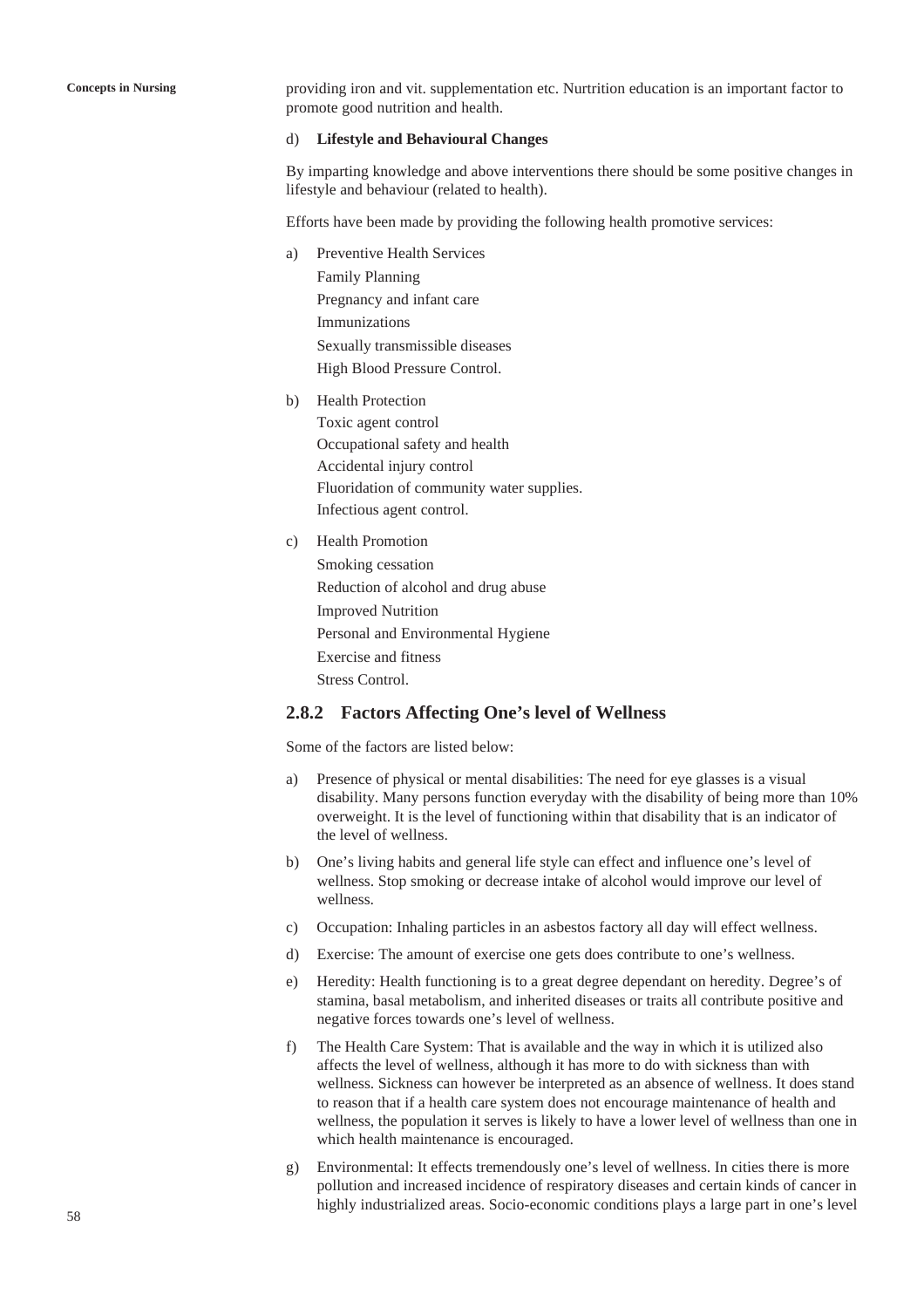**Concepts in Nursing** providing iron and vit. supplementation etc. Nurtrition education is an important factor to promote good nutrition and health.

#### d) **Lifestyle and Behavioural Changes**

By imparting knowledge and above interventions there should be some positive changes in lifestyle and behaviour (related to health).

Efforts have been made by providing the following health promotive services:

- a) Preventive Health Services Family Planning Pregnancy and infant care Immunizations Sexually transmissible diseases High Blood Pressure Control.
- b) Health Protection Toxic agent control Occupational safety and health Accidental injury control Fluoridation of community water supplies. Infectious agent control.
- c) Health Promotion Smoking cessation Reduction of alcohol and drug abuse Improved Nutrition Personal and Environmental Hygiene Exercise and fitness Stress Control.

### **2.8.2 Factors Affecting One's level of Wellness**

Some of the factors are listed below:

- a) Presence of physical or mental disabilities: The need for eye glasses is a visual disability. Many persons function everyday with the disability of being more than 10% overweight. It is the level of functioning within that disability that is an indicator of the level of wellness.
- b) One's living habits and general life style can effect and influence one's level of wellness. Stop smoking or decrease intake of alcohol would improve our level of wellness.
- c) Occupation: Inhaling particles in an asbestos factory all day will effect wellness.
- d) Exercise: The amount of exercise one gets does contribute to one's wellness.
- e) Heredity: Health functioning is to a great degree dependant on heredity. Degree's of stamina, basal metabolism, and inherited diseases or traits all contribute positive and negative forces towards one's level of wellness.
- f) The Health Care System: That is available and the way in which it is utilized also affects the level of wellness, although it has more to do with sickness than with wellness. Sickness can however be interpreted as an absence of wellness. It does stand to reason that if a health care system does not encourage maintenance of health and wellness, the population it serves is likely to have a lower level of wellness than one in which health maintenance is encouraged.
- g) Environmental: It effects tremendously one's level of wellness. In cities there is more pollution and increased incidence of respiratory diseases and certain kinds of cancer in highly industrialized areas. Socio-economic conditions plays a large part in one's level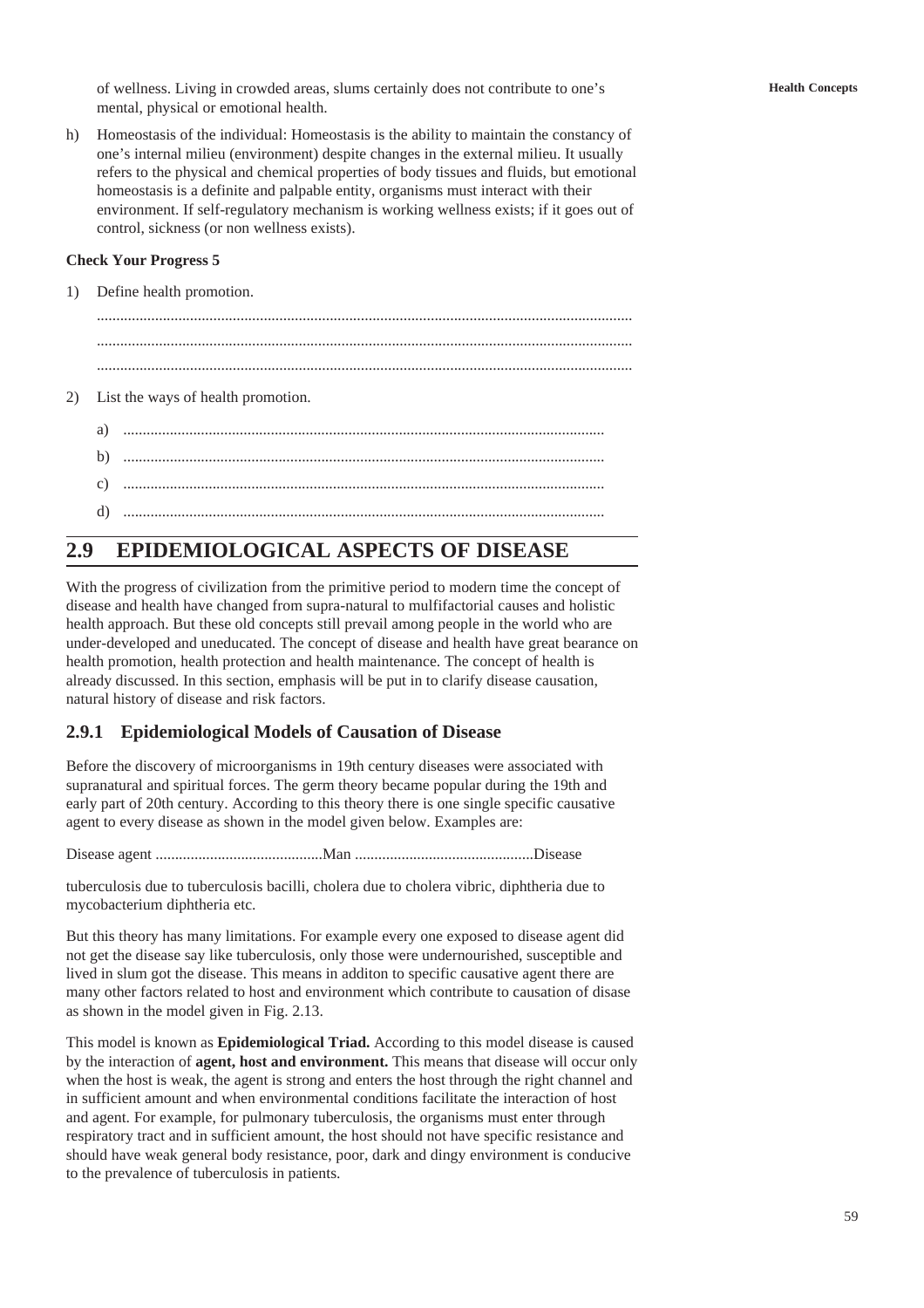of wellness. Living in crowded areas, slums certainly does not contribute to one's mental, physical or emotional health.

h) Homeostasis of the individual: Homeostasis is the ability to maintain the constancy of one's internal milieu (environment) despite changes in the external milieu. It usually refers to the physical and chemical properties of body tissues and fluids, but emotional homeostasis is a definite and palpable entity, organisms must interact with their environment. If self-regulatory mechanism is working wellness exists; if it goes out of control, sickness (or non wellness exists).

#### **Check Your Progress 5**

1) Define health promotion.

.......................................................................................................................................... .......................................................................................................................................... ..........................................................................................................................................

- 2) List the ways of health promotion.
	- a) ............................................................................................................................
	- b) ............................................................................................................................
	- c) ............................................................................................................................
	- d) ............................................................................................................................

# **2.9 EPIDEMIOLOGICAL ASPECTS OF DISEASE**

With the progress of civilization from the primitive period to modern time the concept of disease and health have changed from supra-natural to mulfifactorial causes and holistic health approach. But these old concepts still prevail among people in the world who are under-developed and uneducated. The concept of disease and health have great bearance on health promotion, health protection and health maintenance. The concept of health is already discussed. In this section, emphasis will be put in to clarify disease causation, natural history of disease and risk factors.

## **2.9.1 Epidemiological Models of Causation of Disease**

Before the discovery of microorganisms in 19th century diseases were associated with supranatural and spiritual forces. The germ theory became popular during the 19th and early part of 20th century. According to this theory there is one single specific causative agent to every disease as shown in the model given below. Examples are:

Disease agent ...........................................Man ..............................................Disease

tuberculosis due to tuberculosis bacilli, cholera due to cholera vibric, diphtheria due to mycobacterium diphtheria etc.

But this theory has many limitations. For example every one exposed to disease agent did not get the disease say like tuberculosis, only those were undernourished, susceptible and lived in slum got the disease. This means in additon to specific causative agent there are many other factors related to host and environment which contribute to causation of disase as shown in the model given in Fig. 2.13.

This model is known as **Epidemiological Triad.** According to this model disease is caused by the interaction of **agent, host and environment.** This means that disease will occur only when the host is weak, the agent is strong and enters the host through the right channel and in sufficient amount and when environmental conditions facilitate the interaction of host and agent. For example, for pulmonary tuberculosis, the organisms must enter through respiratory tract and in sufficient amount, the host should not have specific resistance and should have weak general body resistance, poor, dark and dingy environment is conducive to the prevalence of tuberculosis in patients.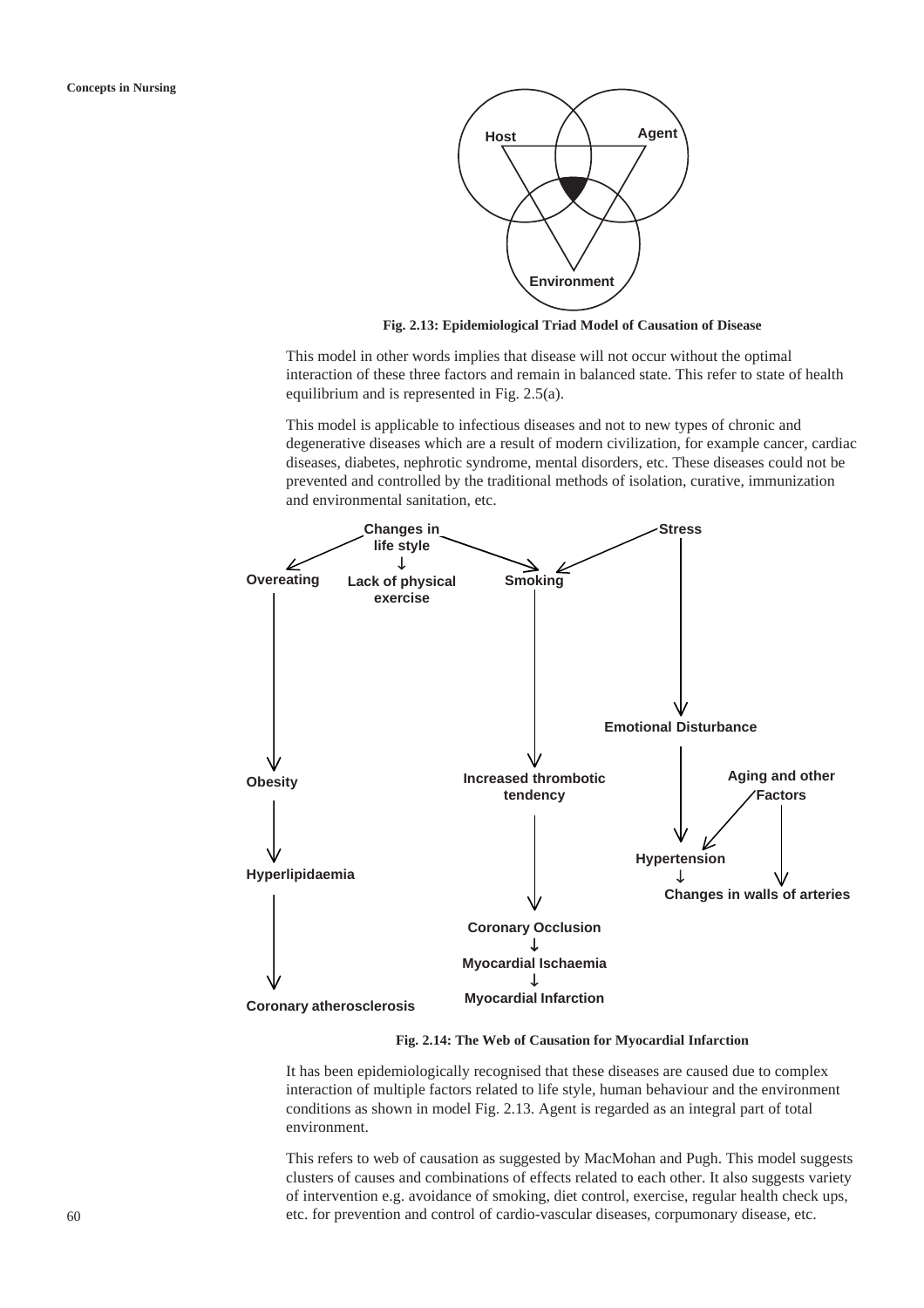

**Fig. 2.13: Epidemiological Triad Model of Causation of Disease**

This model in other words implies that disease will not occur without the optimal interaction of these three factors and remain in balanced state. This refer to state of health equilibrium and is represented in Fig. 2.5(a).

This model is applicable to infectious diseases and not to new types of chronic and degenerative diseases which are a result of modern civilization, for example cancer, cardiac diseases, diabetes, nephrotic syndrome, mental disorders, etc. These diseases could not be prevented and controlled by the traditional methods of isolation, curative, immunization and environmental sanitation, etc.



**Fig. 2.14: The Web of Causation for Myocardial Infarction**

It has been epidemiologically recognised that these diseases are caused due to complex interaction of multiple factors related to life style, human behaviour and the environment conditions as shown in model Fig. 2.13. Agent is regarded as an integral part of total environment.

This refers to web of causation as suggested by MacMohan and Pugh. This model suggests clusters of causes and combinations of effects related to each other. It also suggests variety of intervention e.g. avoidance of smoking, diet control, exercise, regular health check ups, etc. for prevention and control of cardio-vascular diseases, corpumonary disease, etc.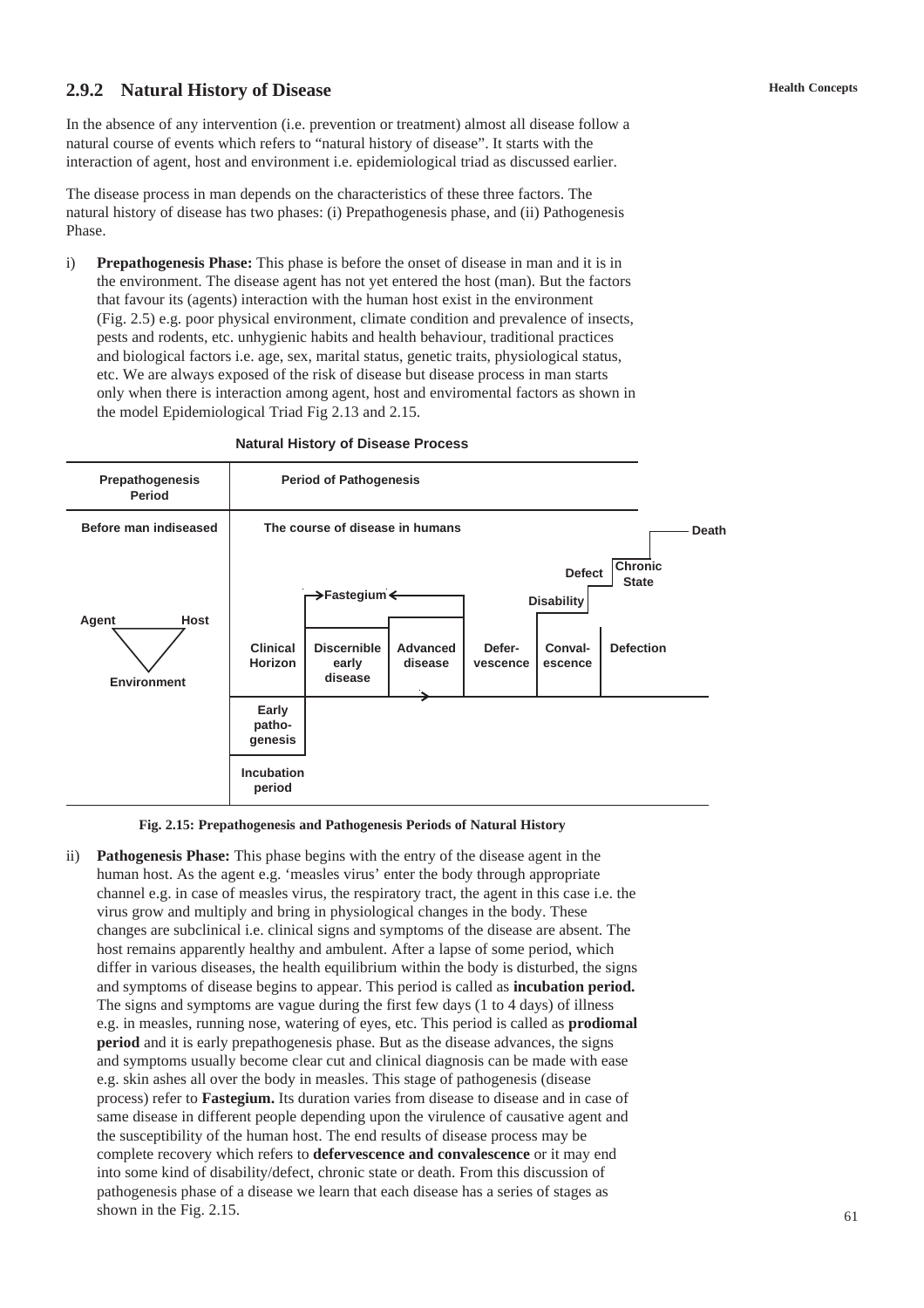# **2.9.2 Natural History of Disease**

In the absence of any intervention (i.e. prevention or treatment) almost all disease follow a natural course of events which refers to "natural history of disease". It starts with the interaction of agent, host and environment i.e. epidemiological triad as discussed earlier.

The disease process in man depends on the characteristics of these three factors. The natural history of disease has two phases: (i) Prepathogenesis phase, and (ii) Pathogenesis Phase.

i) **Prepathogenesis Phase:** This phase is before the onset of disease in man and it is in the environment. The disease agent has not yet entered the host (man). But the factors that favour its (agents) interaction with the human host exist in the environment (Fig. 2.5) e.g. poor physical environment, climate condition and prevalence of insects, pests and rodents, etc. unhygienic habits and health behaviour, traditional practices and biological factors i.e. age, sex, marital status, genetic traits, physiological status, etc. We are always exposed of the risk of disease but disease process in man starts only when there is interaction among agent, host and enviromental factors as shown in the model Epidemiological Triad Fig 2.13 and 2.15.

| <b>Prepathogenesis</b><br>Period    | <b>Period of Pathogenesis</b>                                                                                      |  |  |                                                                                                                                      |  |  |       |
|-------------------------------------|--------------------------------------------------------------------------------------------------------------------|--|--|--------------------------------------------------------------------------------------------------------------------------------------|--|--|-------|
| Before man indiseased               | The course of disease in humans                                                                                    |  |  |                                                                                                                                      |  |  | Death |
| Host<br>Agent<br><b>Environment</b> | →Fastegium <<br><b>Discernible</b><br><b>Clinical</b><br>Advanced<br><b>Horizon</b><br>disease<br>early<br>disease |  |  | <b>Chronic</b><br><b>Defect</b><br><b>State</b><br><b>Disability</b><br>Defer-<br>Conval-<br><b>Defection</b><br>vescence<br>escence |  |  |       |
|                                     | Early<br>patho-<br>genesis                                                                                         |  |  |                                                                                                                                      |  |  |       |
|                                     | Incubation<br>period                                                                                               |  |  |                                                                                                                                      |  |  |       |

#### **Natural History of Disease Process**

#### **Fig. 2.15: Prepathogenesis and Pathogenesis Periods of Natural History**

ii) **Pathogenesis Phase:** This phase begins with the entry of the disease agent in the human host. As the agent e.g. 'measles virus' enter the body through appropriate channel e.g. in case of measles virus, the respiratory tract, the agent in this case i.e. the virus grow and multiply and bring in physiological changes in the body. These changes are subclinical i.e. clinical signs and symptoms of the disease are absent. The host remains apparently healthy and ambulent. After a lapse of some period, which differ in various diseases, the health equilibrium within the body is disturbed, the signs and symptoms of disease begins to appear. This period is called as **incubation period.** The signs and symptoms are vague during the first few days (1 to 4 days) of illness e.g. in measles, running nose, watering of eyes, etc. This period is called as **prodiomal period** and it is early prepathogenesis phase. But as the disease advances, the signs and symptoms usually become clear cut and clinical diagnosis can be made with ease e.g. skin ashes all over the body in measles. This stage of pathogenesis (disease process) refer to **Fastegium.** Its duration varies from disease to disease and in case of same disease in different people depending upon the virulence of causative agent and the susceptibility of the human host. The end results of disease process may be complete recovery which refers to **defervescence and convalescence** or it may end into some kind of disability/defect, chronic state or death. From this discussion of pathogenesis phase of a disease we learn that each disease has a series of stages as shown in the Fig. 2.15.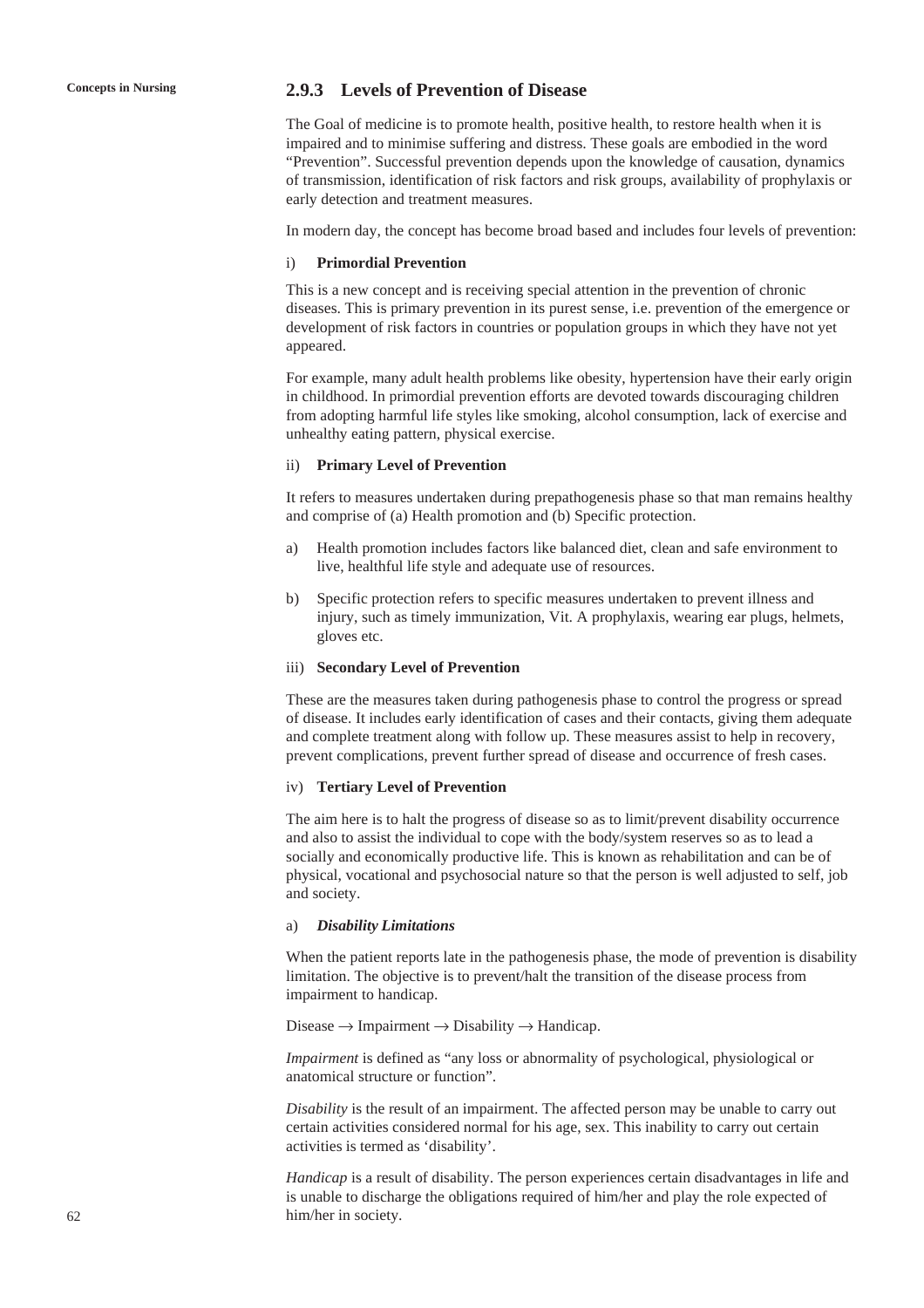## **Concepts in Nursing 2.9.3 Levels of Prevention of Disease**

The Goal of medicine is to promote health, positive health, to restore health when it is impaired and to minimise suffering and distress. These goals are embodied in the word "Prevention". Successful prevention depends upon the knowledge of causation, dynamics of transmission, identification of risk factors and risk groups, availability of prophylaxis or early detection and treatment measures.

In modern day, the concept has become broad based and includes four levels of prevention:

#### i) **Primordial Prevention**

This is a new concept and is receiving special attention in the prevention of chronic diseases. This is primary prevention in its purest sense, i.e. prevention of the emergence or development of risk factors in countries or population groups in which they have not yet appeared.

For example, many adult health problems like obesity, hypertension have their early origin in childhood. In primordial prevention efforts are devoted towards discouraging children from adopting harmful life styles like smoking, alcohol consumption, lack of exercise and unhealthy eating pattern, physical exercise.

#### ii) **Primary Level of Prevention**

It refers to measures undertaken during prepathogenesis phase so that man remains healthy and comprise of (a) Health promotion and (b) Specific protection.

- a) Health promotion includes factors like balanced diet, clean and safe environment to live, healthful life style and adequate use of resources.
- b) Specific protection refers to specific measures undertaken to prevent illness and injury, such as timely immunization, Vit. A prophylaxis, wearing ear plugs, helmets, gloves etc.

#### iii) **Secondary Level of Prevention**

These are the measures taken during pathogenesis phase to control the progress or spread of disease. It includes early identification of cases and their contacts, giving them adequate and complete treatment along with follow up. These measures assist to help in recovery, prevent complications, prevent further spread of disease and occurrence of fresh cases.

#### iv) **Tertiary Level of Prevention**

The aim here is to halt the progress of disease so as to limit/prevent disability occurrence and also to assist the individual to cope with the body/system reserves so as to lead a socially and economically productive life. This is known as rehabilitation and can be of physical, vocational and psychosocial nature so that the person is well adjusted to self, job and society.

### a) *Disability Limitations*

When the patient reports late in the pathogenesis phase, the mode of prevention is disability limitation. The objective is to prevent/halt the transition of the disease process from impairment to handicap.

Disease  $\rightarrow$  Impairment  $\rightarrow$  Disability  $\rightarrow$  Handicap.

*Impairment* is defined as "any loss or abnormality of psychological, physiological or anatomical structure or function".

*Disability* is the result of an impairment. The affected person may be unable to carry out certain activities considered normal for his age, sex. This inability to carry out certain activities is termed as 'disability'.

*Handicap* is a result of disability. The person experiences certain disadvantages in life and is unable to discharge the obligations required of him/her and play the role expected of him/her in society.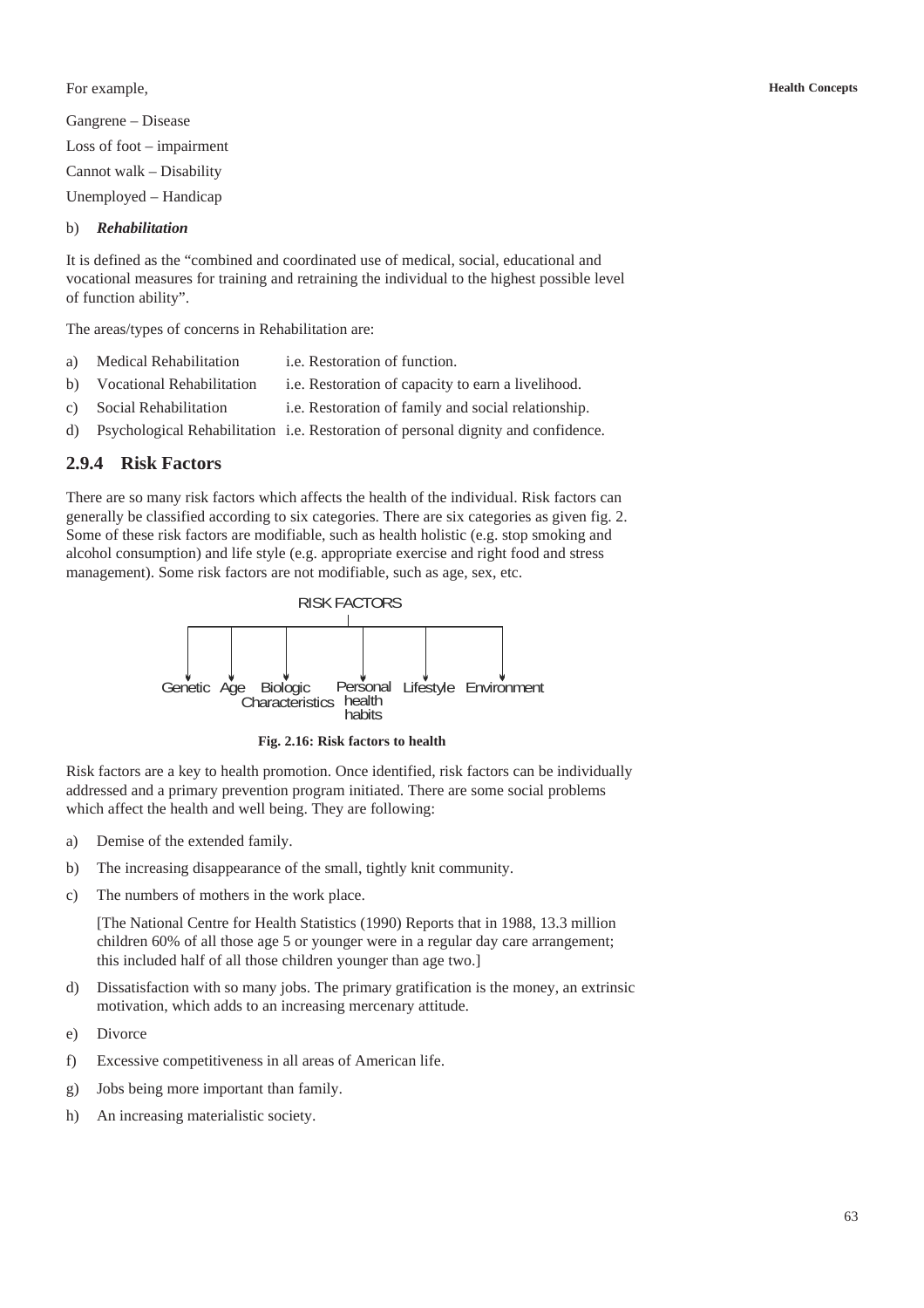For example,

Gangrene – Disease Loss of foot – impairment Cannot walk – Disability Unemployed – Handicap

### b) *Rehabilitation*

It is defined as the "combined and coordinated use of medical, social, educational and vocational measures for training and retraining the individual to the highest possible level of function ability".

The areas/types of concerns in Rehabilitation are:

- a) Medical Rehabilitation i.e. Restoration of function.
- b) Vocational Rehabilitation i.e. Restoration of capacity to earn a livelihood.
- c) Social Rehabilitation i.e. Restoration of family and social relationship.
- d) Psychological Rehabilitation i.e. Restoration of personal dignity and confidence.

## **2.9.4 Risk Factors**

There are so many risk factors which affects the health of the individual. Risk factors can generally be classified according to six categories. There are six categories as given fig. 2. Some of these risk factors are modifiable, such as health holistic (e.g. stop smoking and alcohol consumption) and life style (e.g. appropriate exercise and right food and stress management). Some risk factors are not modifiable, such as age, sex, etc.



**Fig. 2.16: Risk factors to health**

Risk factors are a key to health promotion. Once identified, risk factors can be individually addressed and a primary prevention program initiated. There are some social problems which affect the health and well being. They are following:

- a) Demise of the extended family.
- b) The increasing disappearance of the small, tightly knit community.
- c) The numbers of mothers in the work place.

[The National Centre for Health Statistics (1990) Reports that in 1988, 13.3 million children 60% of all those age 5 or younger were in a regular day care arrangement; this included half of all those children younger than age two.]

- d) Dissatisfaction with so many jobs. The primary gratification is the money, an extrinsic motivation, which adds to an increasing mercenary attitude.
- e) Divorce
- f) Excessive competitiveness in all areas of American life.
- g) Jobs being more important than family.
- h) An increasing materialistic society.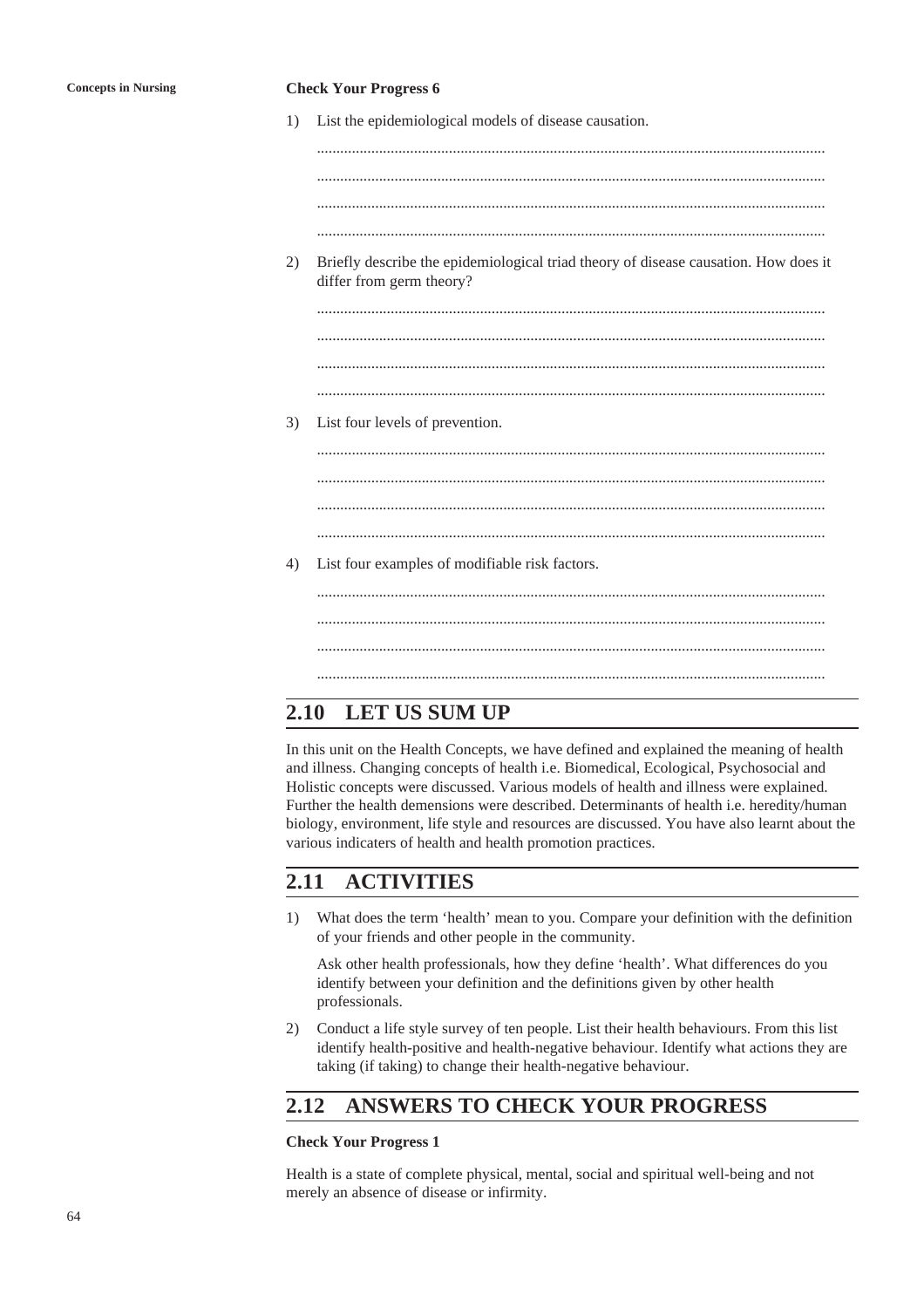#### **Concepts in Nursing Check Your Progress 6**

1) List the epidemiological models of disease causation.

................................................................................................................................... ................................................................................................................................... ...................................................................................................................................

...................................................................................................................................

2) Briefly describe the epidemiological triad theory of disease causation. How does it differ from germ theory?

................................................................................................................................... ...................................................................................................................................

...................................................................................................................................

3) List four levels of prevention.

...................................................................................................................................

................................................................................................................................... ................................................................................................................................... ...................................................................................................................................

4) List four examples of modifiable risk factors.

................................................................................................................................... ................................................................................................................................... ...................................................................................................................................

# **2.10 LET US SUM UP**

In this unit on the Health Concepts, we have defined and explained the meaning of health and illness. Changing concepts of health i.e. Biomedical, Ecological, Psychosocial and Holistic concepts were discussed. Various models of health and illness were explained. Further the health demensions were described. Determinants of health i.e. heredity/human biology, environment, life style and resources are discussed. You have also learnt about the various indicaters of health and health promotion practices.

# **2.11 ACTIVITIES**

1) What does the term 'health' mean to you. Compare your definition with the definition of your friends and other people in the community.

Ask other health professionals, how they define 'health'. What differences do you identify between your definition and the definitions given by other health professionals.

2) Conduct a life style survey of ten people. List their health behaviours. From this list identify health-positive and health-negative behaviour. Identify what actions they are taking (if taking) to change their health-negative behaviour.

# **2.12 ANSWERS TO CHECK YOUR PROGRESS**

### **Check Your Progress 1**

Health is a state of complete physical, mental, social and spiritual well-being and not merely an absence of disease or infirmity.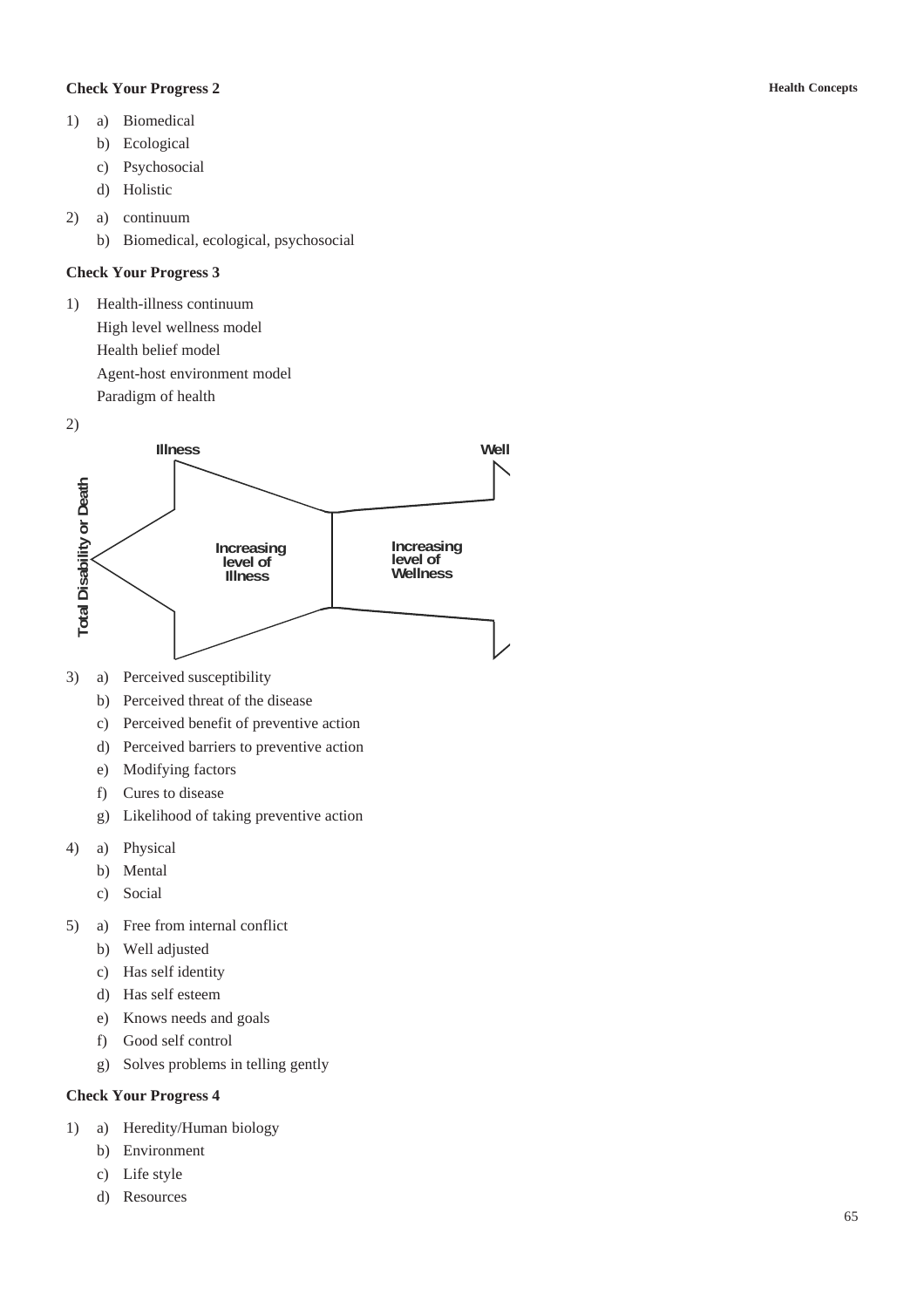## **Check Your Progress 2**

- 1) a) Biomedical
	- b) Ecological
	- c) Psychosocial
	- d) Holistic
- 2) a) continuum
	- b) Biomedical, ecological, psychosocial

## **Check Your Progress 3**

- 1) Health-illness continuum High level wellness model Health belief model Agent-host environment model Paradigm of health
- 2)



- 3) a) Perceived susceptibility
	- b) Perceived threat of the disease
	- c) Perceived benefit of preventive action
	- d) Perceived barriers to preventive action
	- e) Modifying factors
	- f) Cures to disease
	- g) Likelihood of taking preventive action
- 4) a) Physical
	- b) Mental
	- c) Social
- 5) a) Free from internal conflict
	- b) Well adjusted
	- c) Has self identity
	- d) Has self esteem
	- e) Knows needs and goals
	- f) Good self control
	- g) Solves problems in telling gently

## **Check Your Progress 4**

- 1) a) Heredity/Human biology
	- b) Environment
	- c) Life style
	- d) Resources